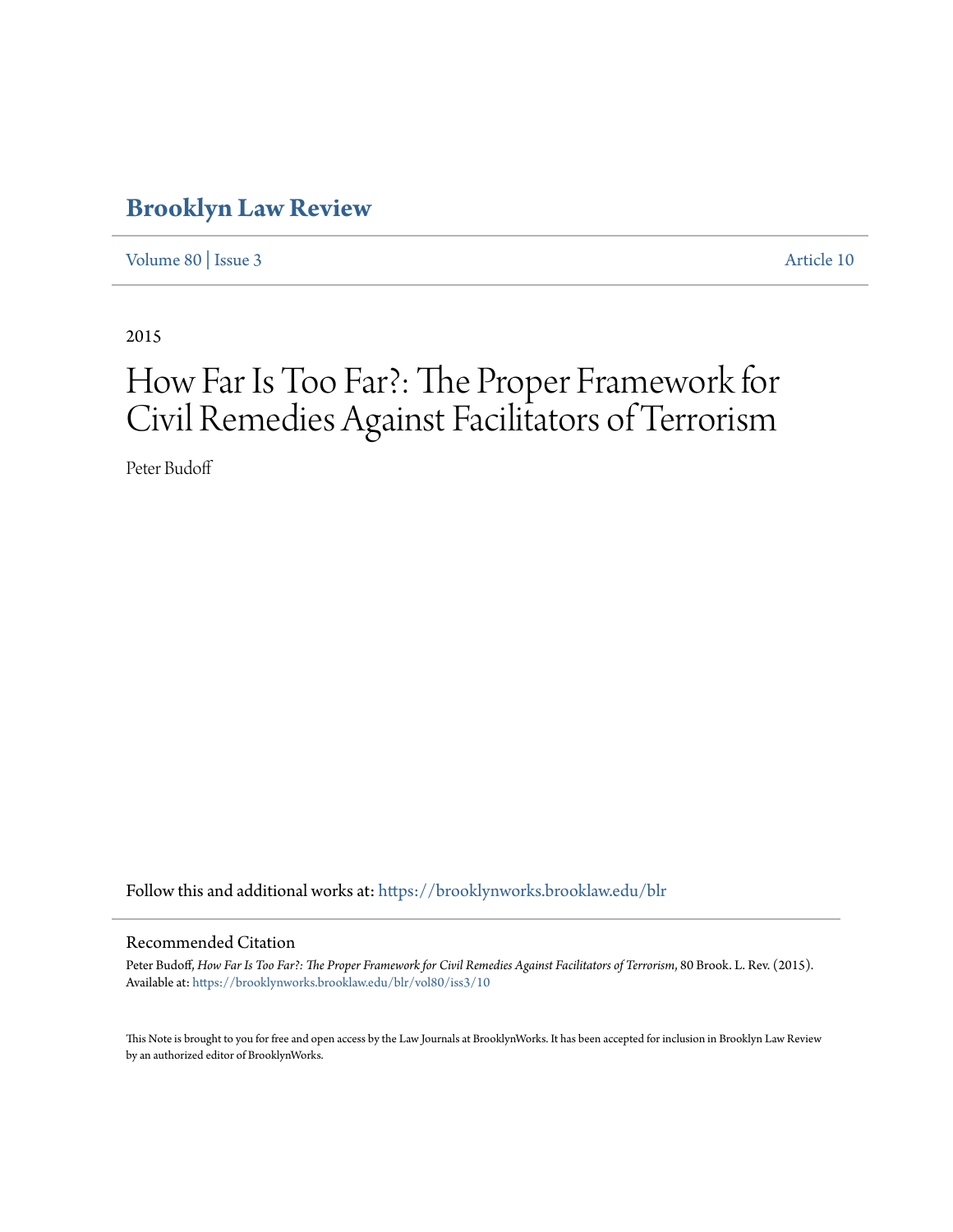# **[Brooklyn Law Review](https://brooklynworks.brooklaw.edu/blr?utm_source=brooklynworks.brooklaw.edu%2Fblr%2Fvol80%2Fiss3%2F10&utm_medium=PDF&utm_campaign=PDFCoverPages)**

[Volume 80](https://brooklynworks.brooklaw.edu/blr/vol80?utm_source=brooklynworks.brooklaw.edu%2Fblr%2Fvol80%2Fiss3%2F10&utm_medium=PDF&utm_campaign=PDFCoverPages) | [Issue 3](https://brooklynworks.brooklaw.edu/blr/vol80/iss3?utm_source=brooklynworks.brooklaw.edu%2Fblr%2Fvol80%2Fiss3%2F10&utm_medium=PDF&utm_campaign=PDFCoverPages) [Article 10](https://brooklynworks.brooklaw.edu/blr/vol80/iss3/10?utm_source=brooklynworks.brooklaw.edu%2Fblr%2Fvol80%2Fiss3%2F10&utm_medium=PDF&utm_campaign=PDFCoverPages)

2015

# How Far Is Too Far?: The Proper Framework for Civil Remedies Against Facilitators of Terrorism

Peter Budoff

Follow this and additional works at: [https://brooklynworks.brooklaw.edu/blr](https://brooklynworks.brooklaw.edu/blr?utm_source=brooklynworks.brooklaw.edu%2Fblr%2Fvol80%2Fiss3%2F10&utm_medium=PDF&utm_campaign=PDFCoverPages)

#### Recommended Citation

Peter Budoff, *How Far Is Too Far?: The Proper Framework for Civil Remedies Against Facilitators of Terrorism*, 80 Brook. L. Rev. (2015). Available at: [https://brooklynworks.brooklaw.edu/blr/vol80/iss3/10](https://brooklynworks.brooklaw.edu/blr/vol80/iss3/10?utm_source=brooklynworks.brooklaw.edu%2Fblr%2Fvol80%2Fiss3%2F10&utm_medium=PDF&utm_campaign=PDFCoverPages)

This Note is brought to you for free and open access by the Law Journals at BrooklynWorks. It has been accepted for inclusion in Brooklyn Law Review by an authorized editor of BrooklynWorks.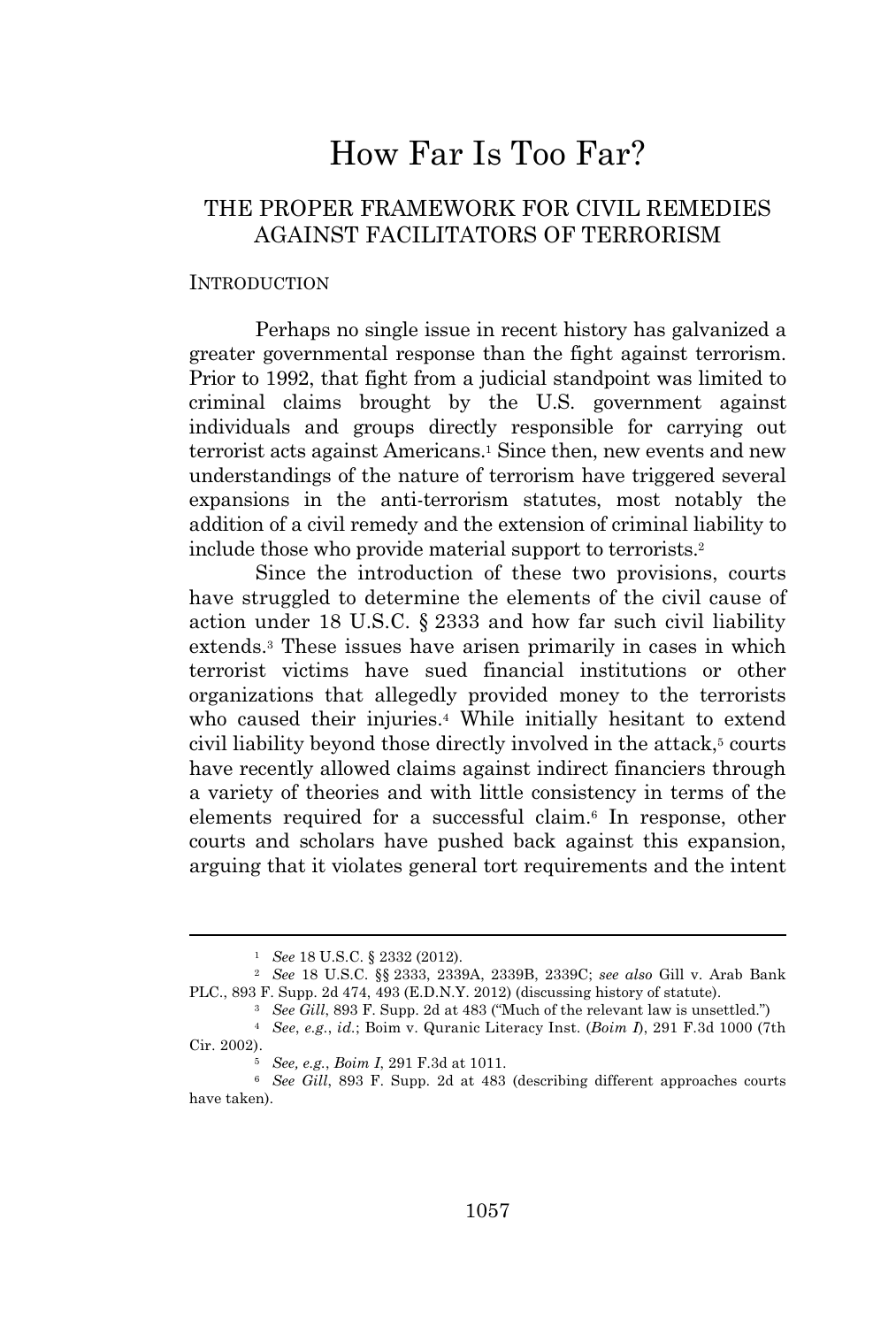# How Far Is Too Far?

# THE PROPER FRAMEWORK FOR CIVIL REMEDIES AGAINST FACILITATORS OF TERRORISM

#### INTRODUCTION

Perhaps no single issue in recent history has galvanized a greater governmental response than the fight against terrorism. Prior to 1992, that fight from a judicial standpoint was limited to criminal claims brought by the U.S. government against individuals and groups directly responsible for carrying out terrorist acts against Americans.<sup>1</sup> Since then, new events and new understandings of the nature of terrorism have triggered several expansions in the anti-terrorism statutes, most notably the addition of a civil remedy and the extension of criminal liability to include those who provide material support to terrorists.<sup>2</sup>

Since the introduction of these two provisions, courts have struggled to determine the elements of the civil cause of action under 18 U.S.C. § 2333 and how far such civil liability extends.<sup>3</sup> These issues have arisen primarily in cases in which terrorist victims have sued financial institutions or other organizations that allegedly provided money to the terrorists who caused their injuries.<sup>4</sup> While initially hesitant to extend civil liability beyond those directly involved in the attack,<sup>5</sup> courts have recently allowed claims against indirect financiers through a variety of theories and with little consistency in terms of the elements required for a successful claim.<sup>6</sup> In response, other courts and scholars have pushed back against this expansion, arguing that it violates general tort requirements and the intent

<sup>1</sup> *See* 18 U.S.C. § 2332 (2012).

<sup>2</sup> *See* 18 U.S.C. §§ 2333, 2339A, 2339B, 2339C; *see also* Gill v. Arab Bank PLC., 893 F. Supp. 2d 474, 493 (E.D.N.Y. 2012) (discussing history of statute).

<sup>3</sup> *See Gill*, 893 F. Supp. 2d at 483 ("Much of the relevant law is unsettled.")

<sup>4</sup> *See*, *e.g.*, *id.*; Boim v. Quranic Literacy Inst. (*Boim I*), 291 F.3d 1000 (7th Cir. 2002).

<sup>5</sup> *See, e.g.*, *Boim I*, 291 F.3d at 1011.

<sup>6</sup> *See Gill*, 893 F. Supp. 2d at 483 (describing different approaches courts have taken).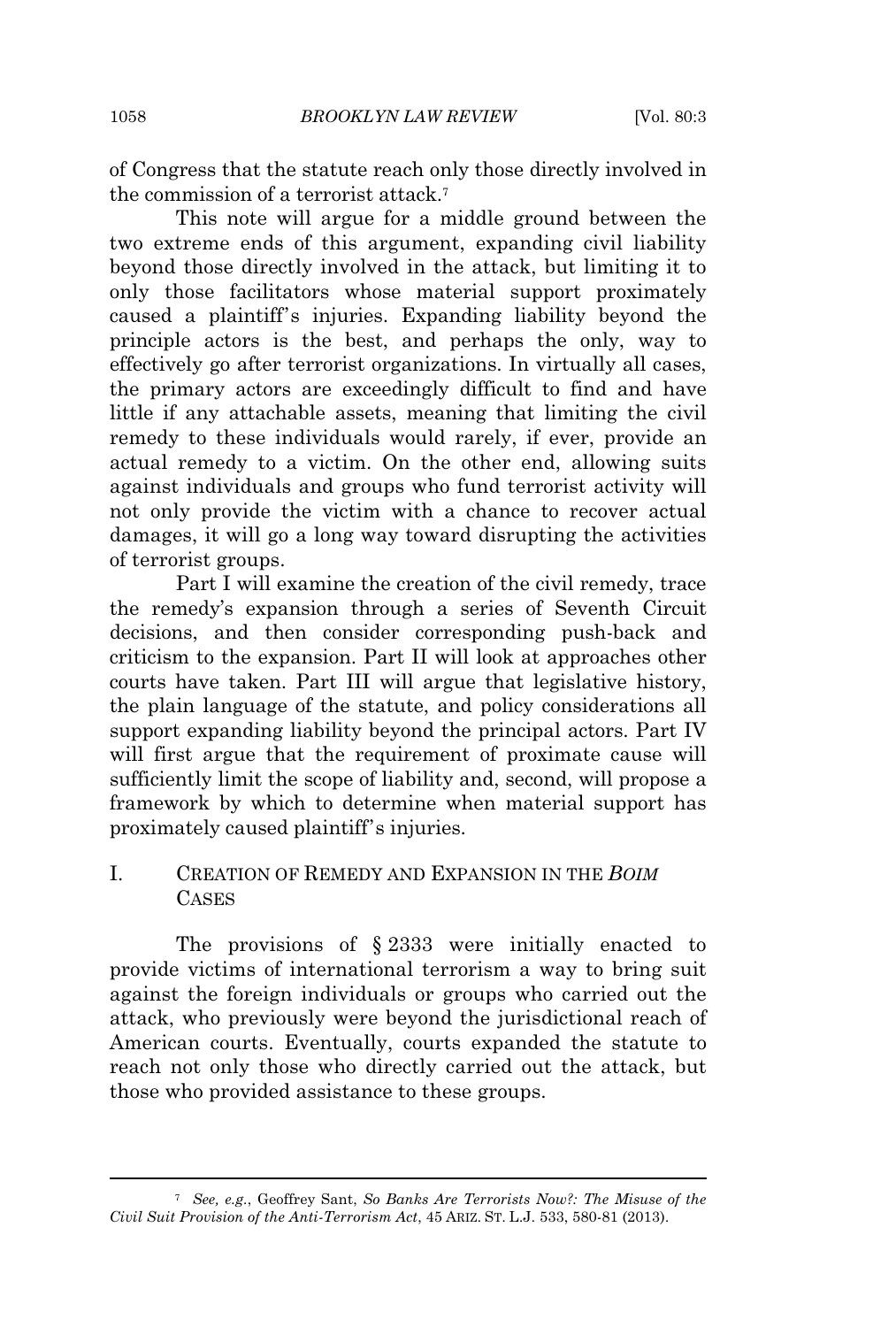of Congress that the statute reach only those directly involved in the commission of a terrorist attack.<sup>7</sup>

This note will argue for a middle ground between the two extreme ends of this argument, expanding civil liability beyond those directly involved in the attack, but limiting it to only those facilitators whose material support proximately caused a plaintiff's injuries. Expanding liability beyond the principle actors is the best, and perhaps the only, way to effectively go after terrorist organizations. In virtually all cases, the primary actors are exceedingly difficult to find and have little if any attachable assets, meaning that limiting the civil remedy to these individuals would rarely, if ever, provide an actual remedy to a victim. On the other end, allowing suits against individuals and groups who fund terrorist activity will not only provide the victim with a chance to recover actual damages, it will go a long way toward disrupting the activities of terrorist groups.

Part I will examine the creation of the civil remedy, trace the remedy's expansion through a series of Seventh Circuit decisions, and then consider corresponding push-back and criticism to the expansion. Part II will look at approaches other courts have taken. Part III will argue that legislative history, the plain language of the statute, and policy considerations all support expanding liability beyond the principal actors. Part IV will first argue that the requirement of proximate cause will sufficiently limit the scope of liability and, second, will propose a framework by which to determine when material support has proximately caused plaintiff's injuries.

# I. CREATION OF REMEDY AND EXPANSION IN THE *BOIM* **CASES**

The provisions of § 2333 were initially enacted to provide victims of international terrorism a way to bring suit against the foreign individuals or groups who carried out the attack, who previously were beyond the jurisdictional reach of American courts. Eventually, courts expanded the statute to reach not only those who directly carried out the attack, but those who provided assistance to these groups.

<sup>7</sup> *See, e.g.*, Geoffrey Sant, *So Banks Are Terrorists Now?: The Misuse of the Civil Suit Provision of the Anti-Terrorism Act*, 45 ARIZ. ST. L.J. 533, 580-81 (2013).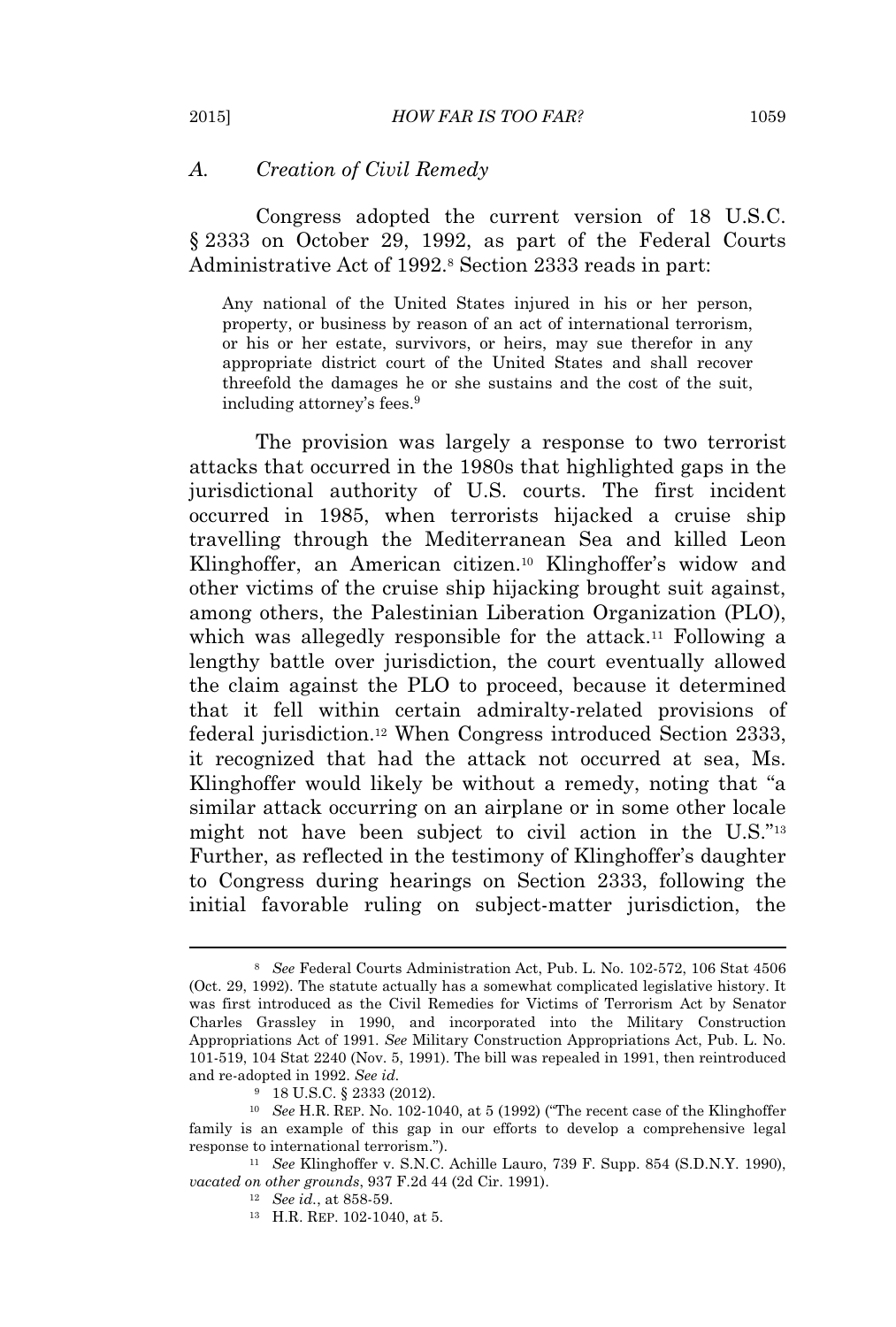#### *A. Creation of Civil Remedy*

Congress adopted the current version of 18 U.S.C. § 2333 on October 29, 1992, as part of the Federal Courts Administrative Act of 1992.<sup>8</sup> Section 2333 reads in part:

Any national of the United States injured in his or her person, property, or business by reason of an act of international terrorism, or his or her estate, survivors, or heirs, may sue therefor in any appropriate district court of the United States and shall recover threefold the damages he or she sustains and the cost of the suit, including attorney's fees.<sup>9</sup>

The provision was largely a response to two terrorist attacks that occurred in the 1980s that highlighted gaps in the jurisdictional authority of U.S. courts. The first incident occurred in 1985, when terrorists hijacked a cruise ship travelling through the Mediterranean Sea and killed Leon Klinghoffer, an American citizen.<sup>10</sup> Klinghoffer's widow and other victims of the cruise ship hijacking brought suit against, among others, the Palestinian Liberation Organization (PLO), which was allegedly responsible for the attack.<sup>11</sup> Following a lengthy battle over jurisdiction, the court eventually allowed the claim against the PLO to proceed, because it determined that it fell within certain admiralty-related provisions of federal jurisdiction.<sup>12</sup> When Congress introduced Section 2333, it recognized that had the attack not occurred at sea, Ms. Klinghoffer would likely be without a remedy, noting that "a similar attack occurring on an airplane or in some other locale might not have been subject to civil action in the U.S."<sup>13</sup> Further, as reflected in the testimony of Klinghoffer's daughter to Congress during hearings on Section 2333, following the initial favorable ruling on subject-matter jurisdiction, the

<sup>8</sup> *See* Federal Courts Administration Act, Pub. L. No. 102-572, 106 Stat 4506 (Oct. 29, 1992). The statute actually has a somewhat complicated legislative history. It was first introduced as the Civil Remedies for Victims of Terrorism Act by Senator Charles Grassley in 1990, and incorporated into the Military Construction Appropriations Act of 1991. *See* Military Construction Appropriations Act, Pub. L. No. 101-519, 104 Stat 2240 (Nov. 5, 1991). The bill was repealed in 1991, then reintroduced and re-adopted in 1992. *See id.*

<sup>9</sup> 18 U.S.C. § 2333 (2012).

<sup>10</sup> *See* H.R. REP. No. 102-1040, at 5 (1992) ("The recent case of the Klinghoffer family is an example of this gap in our efforts to develop a comprehensive legal response to international terrorism.").

<sup>11</sup> *See* Klinghoffer v. S.N.C. Achille Lauro, 739 F. Supp. 854 (S.D.N.Y. 1990), *vacated on other grounds*, 937 F.2d 44 (2d Cir. 1991).

<sup>12</sup> *See id.*, at 858-59.

<sup>13</sup> H.R. REP. 102-1040, at 5.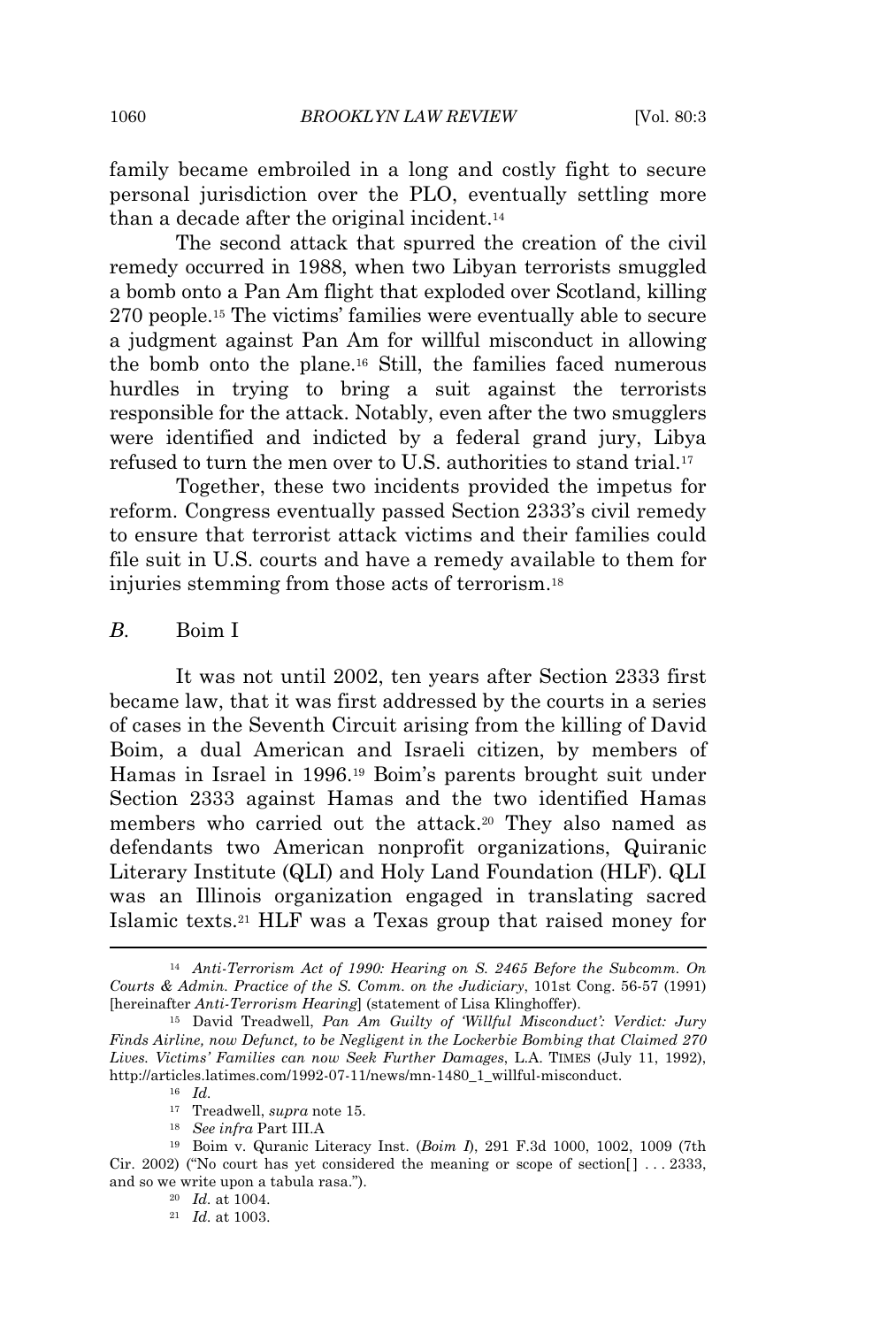family became embroiled in a long and costly fight to secure personal jurisdiction over the PLO, eventually settling more than a decade after the original incident.<sup>14</sup>

The second attack that spurred the creation of the civil remedy occurred in 1988, when two Libyan terrorists smuggled a bomb onto a Pan Am flight that exploded over Scotland, killing 270 people.<sup>15</sup> The victims' families were eventually able to secure a judgment against Pan Am for willful misconduct in allowing the bomb onto the plane.<sup>16</sup> Still, the families faced numerous hurdles in trying to bring a suit against the terrorists responsible for the attack. Notably, even after the two smugglers were identified and indicted by a federal grand jury, Libya refused to turn the men over to U.S. authorities to stand trial.<sup>17</sup>

Together, these two incidents provided the impetus for reform. Congress eventually passed Section 2333's civil remedy to ensure that terrorist attack victims and their families could file suit in U.S. courts and have a remedy available to them for injuries stemming from those acts of terrorism.<sup>18</sup>

#### *B.* Boim I

It was not until 2002, ten years after Section 2333 first became law, that it was first addressed by the courts in a series of cases in the Seventh Circuit arising from the killing of David Boim, a dual American and Israeli citizen, by members of Hamas in Israel in 1996.<sup>19</sup> Boim's parents brought suit under Section 2333 against Hamas and the two identified Hamas members who carried out the attack.<sup>20</sup> They also named as defendants two American nonprofit organizations, Quiranic Literary Institute (QLI) and Holy Land Foundation (HLF). QLI was an Illinois organization engaged in translating sacred Islamic texts.<sup>21</sup> HLF was a Texas group that raised money for

<sup>14</sup> *Anti-Terrorism Act of 1990: Hearing on S. 2465 Before the Subcomm. On Courts & Admin. Practice of the S. Comm. on the Judiciary*, 101st Cong. 56-57 (1991) [hereinafter *Anti-Terrorism Hearing*] (statement of Lisa Klinghoffer).

<sup>15</sup> David Treadwell, *Pan Am Guilty of 'Willful Misconduct': Verdict: Jury Finds Airline, now Defunct, to be Negligent in the Lockerbie Bombing that Claimed 270 Lives. Victims' Families can now Seek Further Damages*, L.A. TIMES (July 11, 1992), http://articles.latimes.com/1992-07-11/news/mn-1480\_1\_willful-misconduct.

<sup>16</sup> *Id.*

<sup>17</sup> Treadwell, *supra* note 15.

<sup>18</sup> *See infra* Part III.A

<sup>19</sup> Boim v. Quranic Literacy Inst. (*Boim I*), 291 F.3d 1000, 1002, 1009 (7th Cir. 2002) ("No court has yet considered the meaning or scope of section  $[ \cdot, \cdot, \cdot, \cdot, \cdot, \cdot]$ " and so we write upon a tabula rasa.").

<sup>20</sup> *Id.* at 1004.

<sup>21</sup> *Id.* at 1003.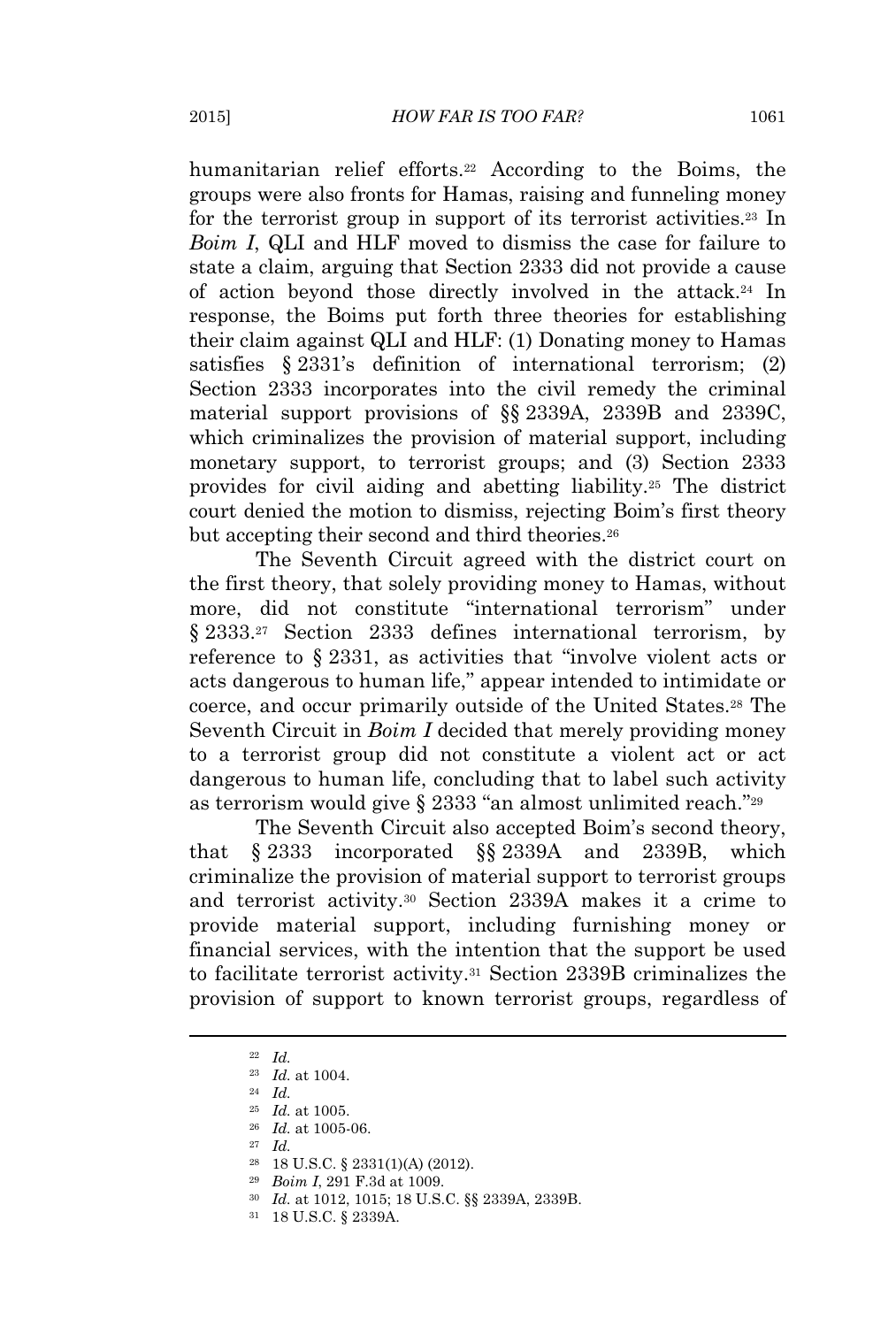humanitarian relief efforts.<sup>22</sup> According to the Boims, the groups were also fronts for Hamas, raising and funneling money for the terrorist group in support of its terrorist activities.<sup>23</sup> In *Boim I*, QLI and HLF moved to dismiss the case for failure to state a claim, arguing that Section 2333 did not provide a cause of action beyond those directly involved in the attack.<sup>24</sup> In response, the Boims put forth three theories for establishing their claim against QLI and HLF: (1) Donating money to Hamas satisfies § 2331's definition of international terrorism; (2) Section 2333 incorporates into the civil remedy the criminal material support provisions of §§ 2339A, 2339B and 2339C, which criminalizes the provision of material support, including monetary support, to terrorist groups; and (3) Section 2333 provides for civil aiding and abetting liability.<sup>25</sup> The district court denied the motion to dismiss, rejecting Boim's first theory but accepting their second and third theories.<sup>26</sup>

The Seventh Circuit agreed with the district court on the first theory, that solely providing money to Hamas, without more, did not constitute "international terrorism" under § 2333.<sup>27</sup> Section 2333 defines international terrorism, by reference to § 2331, as activities that "involve violent acts or acts dangerous to human life," appear intended to intimidate or coerce, and occur primarily outside of the United States.<sup>28</sup> The Seventh Circuit in *Boim I* decided that merely providing money to a terrorist group did not constitute a violent act or act dangerous to human life, concluding that to label such activity as terrorism would give § 2333 "an almost unlimited reach."<sup>29</sup>

The Seventh Circuit also accepted Boim's second theory, that § 2333 incorporated §§ 2339A and 2339B, which criminalize the provision of material support to terrorist groups and terrorist activity.<sup>30</sup> Section 2339A makes it a crime to provide material support, including furnishing money or financial services, with the intention that the support be used to facilitate terrorist activity.<sup>31</sup> Section 2339B criminalizes the provision of support to known terrorist groups, regardless of

<sup>22</sup> *Id.*

<sup>23</sup> *Id.* at 1004.

<sup>24</sup> *Id.*

<sup>25</sup> *Id.* at 1005.

<sup>26</sup> *Id.* at 1005-06.

<sup>27</sup> *Id.*

<sup>28</sup> 18 U.S.C. § 2331(1)(A) (2012).

<sup>29</sup> *Boim I*, 291 F.3d at 1009.

<sup>30</sup> *Id.* at 1012, 1015; 18 U.S.C. §§ 2339A, 2339B.

<sup>31</sup> 18 U.S.C. § 2339A.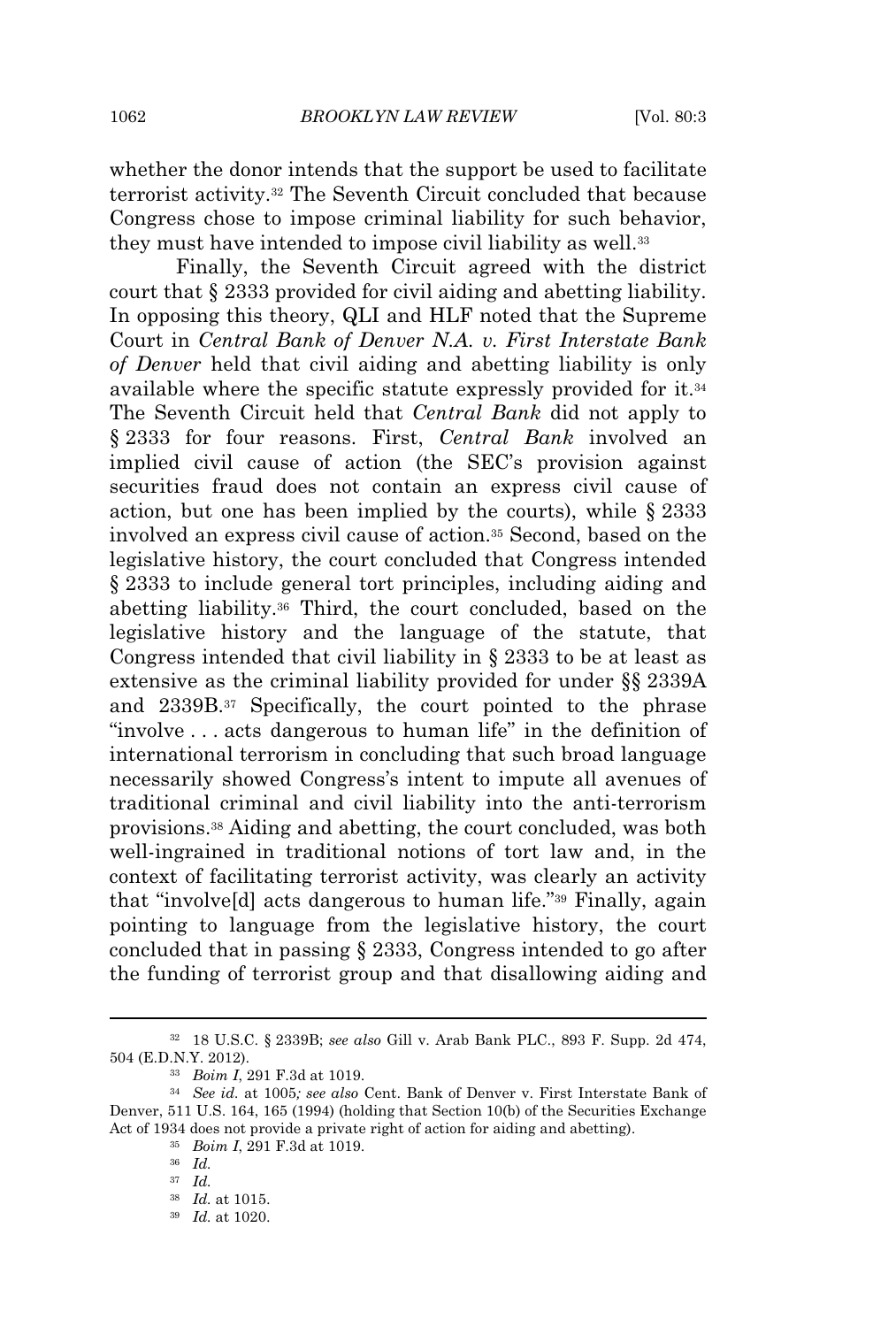whether the donor intends that the support be used to facilitate terrorist activity.<sup>32</sup> The Seventh Circuit concluded that because Congress chose to impose criminal liability for such behavior, they must have intended to impose civil liability as well.<sup>33</sup>

Finally, the Seventh Circuit agreed with the district court that § 2333 provided for civil aiding and abetting liability. In opposing this theory, QLI and HLF noted that the Supreme Court in *Central Bank of Denver N.A. v. First Interstate Bank of Denver* held that civil aiding and abetting liability is only available where the specific statute expressly provided for it.<sup>34</sup> The Seventh Circuit held that *Central Bank* did not apply to § 2333 for four reasons. First, *Central Bank* involved an implied civil cause of action (the SEC's provision against securities fraud does not contain an express civil cause of action, but one has been implied by the courts), while § 2333 involved an express civil cause of action.<sup>35</sup> Second, based on the legislative history, the court concluded that Congress intended § 2333 to include general tort principles, including aiding and abetting liability.<sup>36</sup> Third, the court concluded, based on the legislative history and the language of the statute, that Congress intended that civil liability in § 2333 to be at least as extensive as the criminal liability provided for under §§ 2339A and 2339B.<sup>37</sup> Specifically, the court pointed to the phrase "involve . . . acts dangerous to human life" in the definition of international terrorism in concluding that such broad language necessarily showed Congress's intent to impute all avenues of traditional criminal and civil liability into the anti-terrorism provisions.<sup>38</sup> Aiding and abetting, the court concluded, was both well-ingrained in traditional notions of tort law and, in the context of facilitating terrorist activity, was clearly an activity that "involve[d] acts dangerous to human life." <sup>39</sup> Finally, again pointing to language from the legislative history, the court concluded that in passing § 2333, Congress intended to go after the funding of terrorist group and that disallowing aiding and

<sup>32</sup> 18 U.S.C. § 2339B; *see also* Gill v. Arab Bank PLC., 893 F. Supp. 2d 474, 504 (E.D.N.Y. 2012).

<sup>33</sup> *Boim I*, 291 F.3d at 1019.

<sup>34</sup> *See id.* at 1005*; see also* Cent. Bank of Denver v. First Interstate Bank of Denver, 511 U.S. 164, 165 (1994) (holding that Section 10(b) of the Securities Exchange Act of 1934 does not provide a private right of action for aiding and abetting).

<sup>35</sup> *Boim I*, 291 F.3d at 1019.

<sup>36</sup> *Id.*

<sup>37</sup> *Id.*

<sup>38</sup> *Id.* at 1015.

<sup>39</sup> *Id.* at 1020.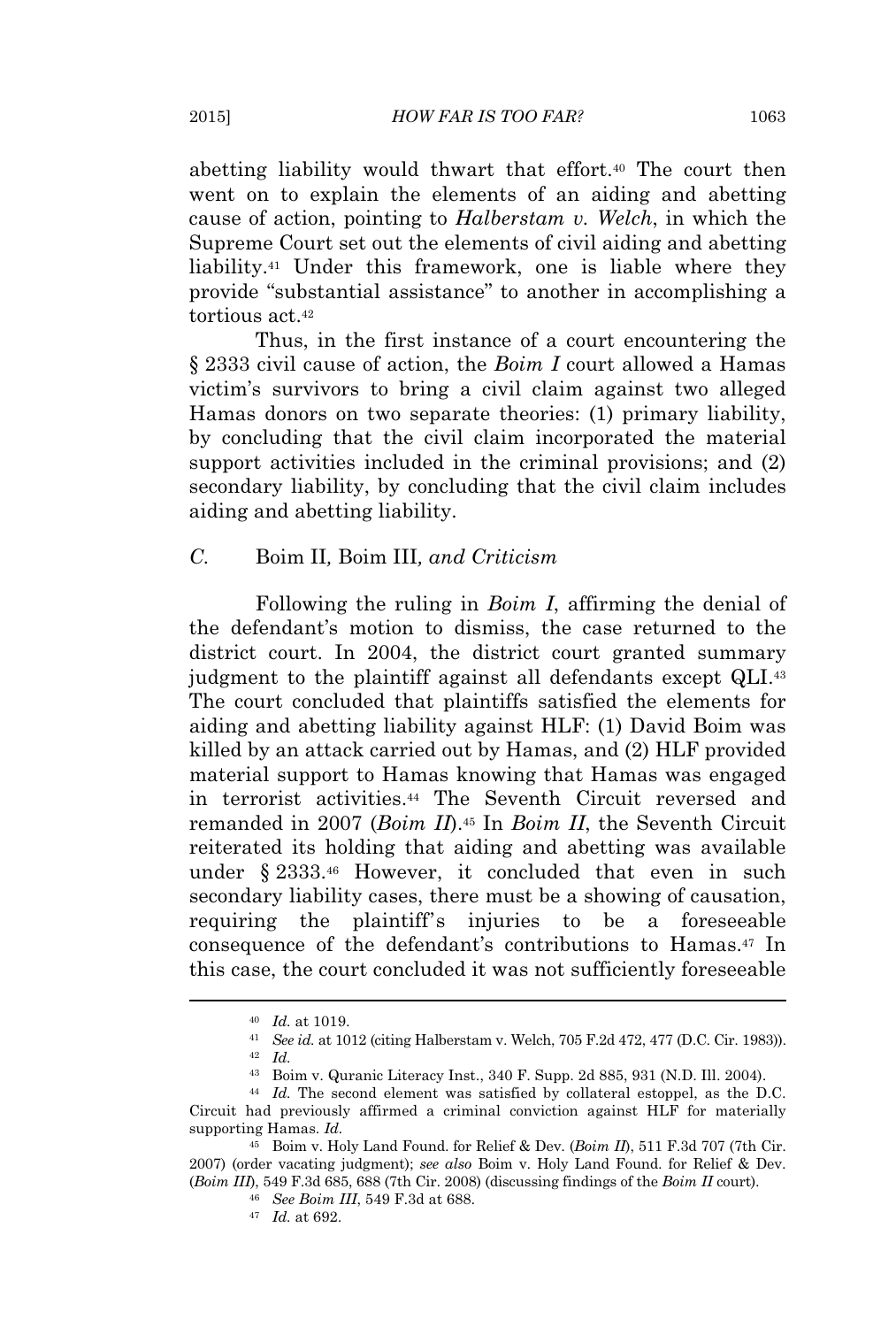abetting liability would thwart that effort.<sup>40</sup> The court then went on to explain the elements of an aiding and abetting cause of action, pointing to *Halberstam v. Welch*, in which the Supreme Court set out the elements of civil aiding and abetting liability.<sup>41</sup> Under this framework, one is liable where they provide "substantial assistance" to another in accomplishing a tortious act.<sup>42</sup>

Thus, in the first instance of a court encountering the § 2333 civil cause of action, the *Boim I* court allowed a Hamas victim's survivors to bring a civil claim against two alleged Hamas donors on two separate theories: (1) primary liability, by concluding that the civil claim incorporated the material support activities included in the criminal provisions; and (2) secondary liability, by concluding that the civil claim includes aiding and abetting liability.

#### *C.* Boim II*,* Boim III*, and Criticism*

Following the ruling in *Boim I*, affirming the denial of the defendant's motion to dismiss, the case returned to the district court. In 2004, the district court granted summary judgment to the plaintiff against all defendants except QLI.<sup>43</sup> The court concluded that plaintiffs satisfied the elements for aiding and abetting liability against HLF: (1) David Boim was killed by an attack carried out by Hamas, and (2) HLF provided material support to Hamas knowing that Hamas was engaged in terrorist activities.<sup>44</sup> The Seventh Circuit reversed and remanded in 2007 (*Boim II*).<sup>45</sup> In *Boim II*, the Seventh Circuit reiterated its holding that aiding and abetting was available under § 2333.<sup>46</sup> However, it concluded that even in such secondary liability cases, there must be a showing of causation, requiring the plaintiff's injuries to be a foreseeable consequence of the defendant's contributions to Hamas.<sup>47</sup> In this case, the court concluded it was not sufficiently foreseeable

<sup>40</sup> *Id.* at 1019.

<sup>41</sup> *See id.* at 1012 (citing Halberstam v. Welch, 705 F.2d 472, 477 (D.C. Cir. 1983)). <sup>42</sup> *Id.*

<sup>43</sup> Boim v. Quranic Literacy Inst., 340 F. Supp. 2d 885, 931 (N.D. Ill. 2004).

<sup>44</sup> *Id.* The second element was satisfied by collateral estoppel, as the D.C. Circuit had previously affirmed a criminal conviction against HLF for materially supporting Hamas. *Id.*

<sup>45</sup> Boim v. Holy Land Found. for Relief & Dev. (*Boim II*), 511 F.3d 707 (7th Cir. 2007) (order vacating judgment); *see also* Boim v. Holy Land Found. for Relief & Dev. (*Boim III*), 549 F.3d 685, 688 (7th Cir. 2008) (discussing findings of the *Boim II* court).

<sup>46</sup> *See Boim III*, 549 F.3d at 688.

<sup>47</sup> *Id.* at 692.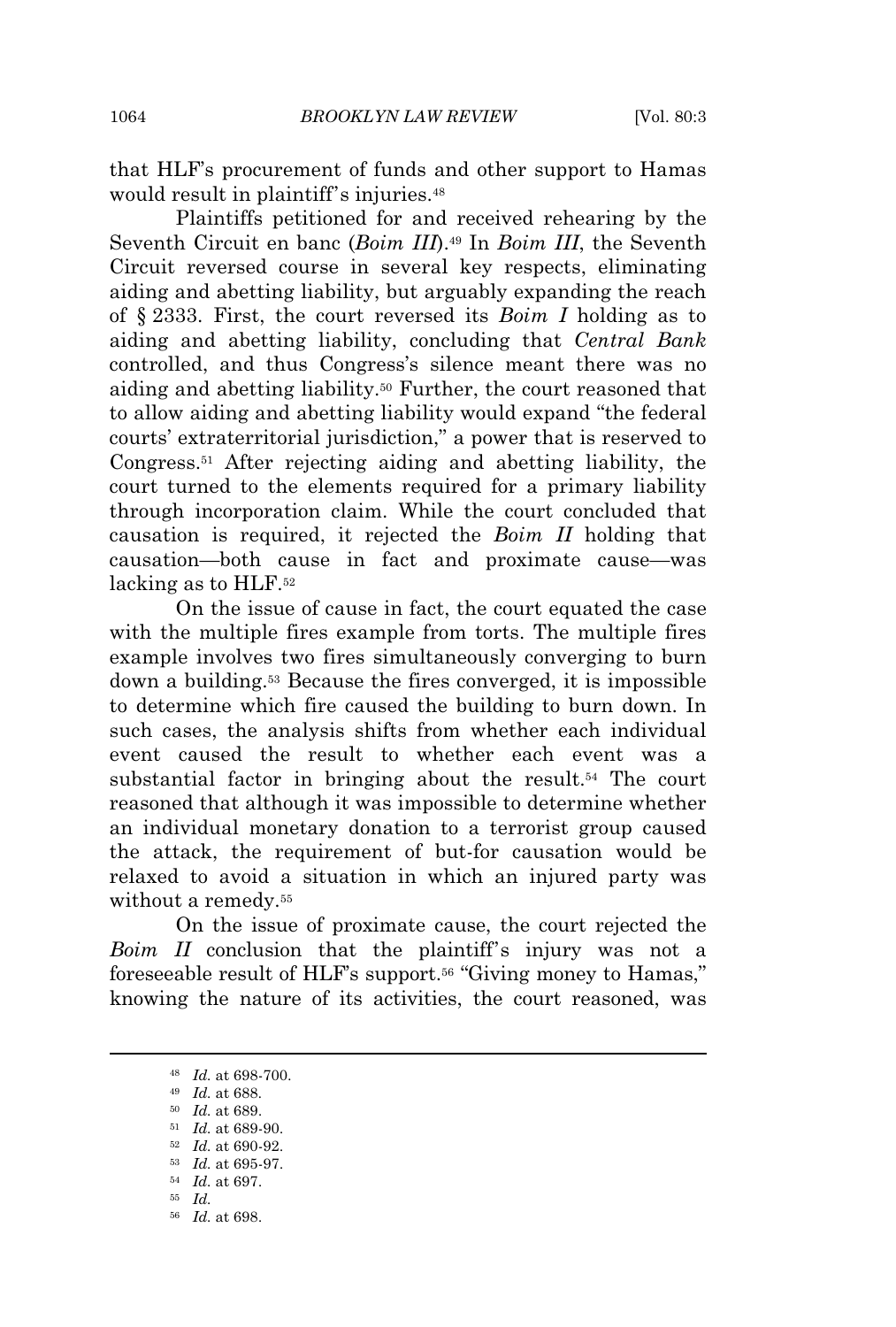that HLF's procurement of funds and other support to Hamas would result in plaintiff's injuries.<sup>48</sup>

Plaintiffs petitioned for and received rehearing by the Seventh Circuit en banc (*Boim III*).<sup>49</sup> In *Boim III*, the Seventh Circuit reversed course in several key respects, eliminating aiding and abetting liability, but arguably expanding the reach of § 2333. First, the court reversed its *Boim I* holding as to aiding and abetting liability, concluding that *Central Bank* controlled, and thus Congress's silence meant there was no aiding and abetting liability.<sup>50</sup> Further, the court reasoned that to allow aiding and abetting liability would expand "the federal courts' extraterritorial jurisdiction," a power that is reserved to Congress.<sup>51</sup> After rejecting aiding and abetting liability, the court turned to the elements required for a primary liability through incorporation claim. While the court concluded that causation is required, it rejected the *Boim II* holding that causation—both cause in fact and proximate cause—was lacking as to HLF.<sup>52</sup>

On the issue of cause in fact, the court equated the case with the multiple fires example from torts. The multiple fires example involves two fires simultaneously converging to burn down a building.<sup>53</sup> Because the fires converged, it is impossible to determine which fire caused the building to burn down. In such cases, the analysis shifts from whether each individual event caused the result to whether each event was a substantial factor in bringing about the result.<sup>54</sup> The court reasoned that although it was impossible to determine whether an individual monetary donation to a terrorist group caused the attack, the requirement of but-for causation would be relaxed to avoid a situation in which an injured party was without a remedy.<sup>55</sup>

On the issue of proximate cause, the court rejected the *Boim II* conclusion that the plaintiff's injury was not a foreseeable result of HLF's support.<sup>56</sup> "Giving money to Hamas," knowing the nature of its activities, the court reasoned, was

<sup>48</sup> *Id.* at 698-700.

<sup>49</sup> *Id.* at 688.

<sup>50</sup> *Id.* at 689.

<sup>51</sup> *Id.* at 689-90.

<sup>52</sup> *Id.* at 690-92.

<sup>53</sup> *Id.* at 695-97.

<sup>54</sup> *Id.* at 697.

<sup>55</sup> *Id.*

<sup>56</sup> *Id.* at 698.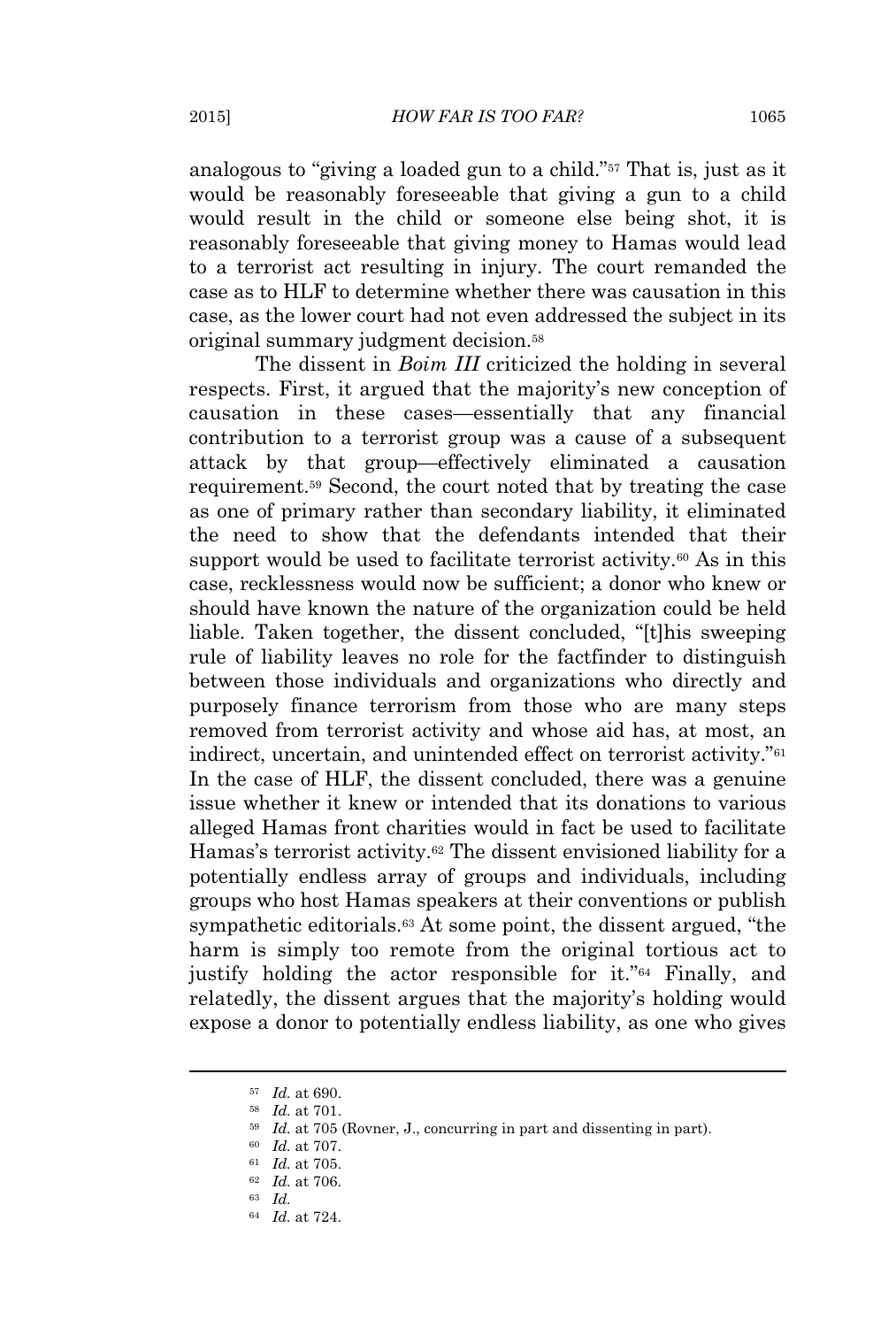analogous to "giving a loaded gun to a child." <sup>57</sup> That is, just as it would be reasonably foreseeable that giving a gun to a child would result in the child or someone else being shot, it is reasonably foreseeable that giving money to Hamas would lead to a terrorist act resulting in injury. The court remanded the case as to HLF to determine whether there was causation in this case, as the lower court had not even addressed the subject in its original summary judgment decision.<sup>58</sup>

The dissent in *Boim III* criticized the holding in several respects. First, it argued that the majority's new conception of causation in these cases—essentially that any financial contribution to a terrorist group was a cause of a subsequent attack by that group—effectively eliminated a causation requirement.<sup>59</sup> Second, the court noted that by treating the case as one of primary rather than secondary liability, it eliminated the need to show that the defendants intended that their support would be used to facilitate terrorist activity.<sup>60</sup> As in this case, recklessness would now be sufficient; a donor who knew or should have known the nature of the organization could be held liable. Taken together, the dissent concluded, "[t]his sweeping rule of liability leaves no role for the factfinder to distinguish between those individuals and organizations who directly and purposely finance terrorism from those who are many steps removed from terrorist activity and whose aid has, at most, an indirect, uncertain, and unintended effect on terrorist activity." 61 In the case of HLF, the dissent concluded, there was a genuine issue whether it knew or intended that its donations to various alleged Hamas front charities would in fact be used to facilitate Hamas's terrorist activity.<sup>62</sup> The dissent envisioned liability for a potentially endless array of groups and individuals, including groups who host Hamas speakers at their conventions or publish sympathetic editorials.<sup>63</sup> At some point, the dissent argued, "the harm is simply too remote from the original tortious act to justify holding the actor responsible for it."<sup>64</sup> Finally, and relatedly, the dissent argues that the majority's holding would expose a donor to potentially endless liability, as one who gives

<sup>57</sup> *Id.* at 690.

<sup>58</sup> *Id.* at 701.

<sup>59</sup> *Id.* at 705 (Rovner, J., concurring in part and dissenting in part).

<sup>60</sup> *Id.* at 707.

<sup>61</sup> *Id.* at 705.

<sup>62</sup> *Id.* at 706.

<sup>63</sup> *Id.*

<sup>64</sup> *Id.* at 724.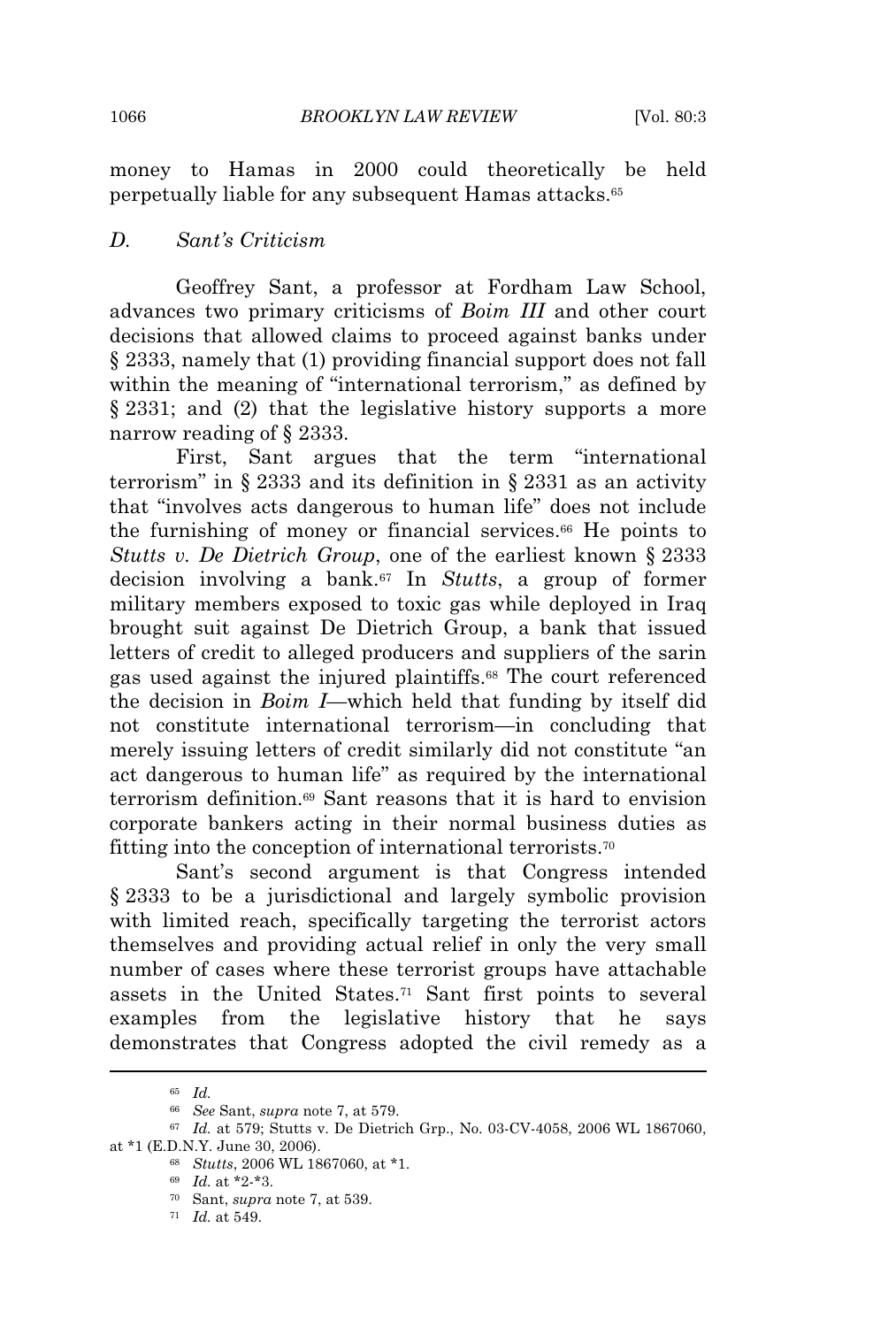money to Hamas in 2000 could theoretically be held perpetually liable for any subsequent Hamas attacks.<sup>65</sup>

#### *D. Sant's Criticism*

Geoffrey Sant, a professor at Fordham Law School, advances two primary criticisms of *Boim III* and other court decisions that allowed claims to proceed against banks under § 2333, namely that (1) providing financial support does not fall within the meaning of "international terrorism," as defined by § 2331; and (2) that the legislative history supports a more narrow reading of § 2333.

First, Sant argues that the term "international terrorism" in § 2333 and its definition in § 2331 as an activity that "involves acts dangerous to human life" does not include the furnishing of money or financial services.<sup>66</sup> He points to *Stutts v. De Dietrich Group*, one of the earliest known § 2333 decision involving a bank.<sup>67</sup> In *Stutts*, a group of former military members exposed to toxic gas while deployed in Iraq brought suit against De Dietrich Group, a bank that issued letters of credit to alleged producers and suppliers of the sarin gas used against the injured plaintiffs.<sup>68</sup> The court referenced the decision in *Boim I*—which held that funding by itself did not constitute international terrorism—in concluding that merely issuing letters of credit similarly did not constitute "an act dangerous to human life" as required by the international terrorism definition.<sup>69</sup> Sant reasons that it is hard to envision corporate bankers acting in their normal business duties as fitting into the conception of international terrorists.<sup>70</sup>

Sant's second argument is that Congress intended § 2333 to be a jurisdictional and largely symbolic provision with limited reach, specifically targeting the terrorist actors themselves and providing actual relief in only the very small number of cases where these terrorist groups have attachable assets in the United States.<sup>71</sup> Sant first points to several examples from the legislative history that he says demonstrates that Congress adopted the civil remedy as a

<sup>65</sup> *Id.*

<sup>66</sup> *See* Sant, *supra* note 7, at 579.

<sup>67</sup> *Id.* at 579; Stutts v. De Dietrich Grp., No. 03-CV-4058, 2006 WL 1867060, at \*1 (E.D.N.Y. June 30, 2006).

<sup>68</sup> *Stutts*, 2006 WL 1867060, at \*1.

<sup>69</sup> *Id.* at \*2-\*3.

<sup>70</sup> Sant, *supra* note 7, at 539.

<sup>71</sup> *Id.* at 549.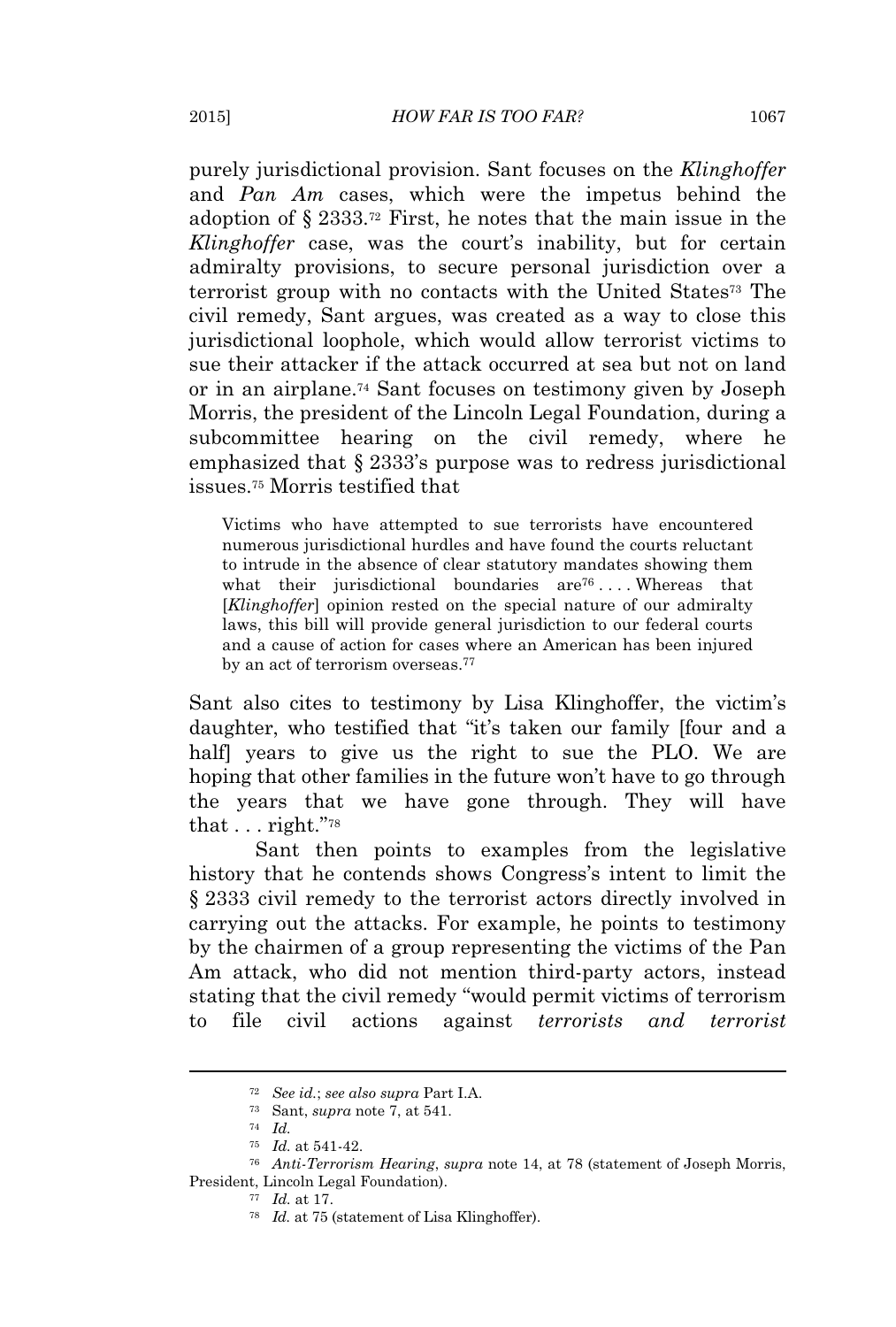purely jurisdictional provision. Sant focuses on the *Klinghoffer* and *Pan Am* cases, which were the impetus behind the adoption of § 2333.<sup>72</sup> First, he notes that the main issue in the *Klinghoffer* case, was the court's inability, but for certain admiralty provisions, to secure personal jurisdiction over a terrorist group with no contacts with the United States<sup>73</sup> The civil remedy, Sant argues, was created as a way to close this jurisdictional loophole, which would allow terrorist victims to sue their attacker if the attack occurred at sea but not on land or in an airplane.<sup>74</sup> Sant focuses on testimony given by Joseph Morris, the president of the Lincoln Legal Foundation, during a subcommittee hearing on the civil remedy, where he emphasized that § 2333's purpose was to redress jurisdictional issues.<sup>75</sup> Morris testified that

Victims who have attempted to sue terrorists have encountered numerous jurisdictional hurdles and have found the courts reluctant to intrude in the absence of clear statutory mandates showing them what their jurisdictional boundaries are<sup>76</sup>....Whereas that [*Klinghoffer*] opinion rested on the special nature of our admiralty laws, this bill will provide general jurisdiction to our federal courts and a cause of action for cases where an American has been injured by an act of terrorism overseas.<sup>77</sup>

Sant also cites to testimony by Lisa Klinghoffer, the victim's daughter, who testified that "it's taken our family [four and a half years to give us the right to sue the PLO. We are hoping that other families in the future won't have to go through the years that we have gone through. They will have that . . . right." 78

Sant then points to examples from the legislative history that he contends shows Congress's intent to limit the § 2333 civil remedy to the terrorist actors directly involved in carrying out the attacks. For example, he points to testimony by the chairmen of a group representing the victims of the Pan Am attack, who did not mention third-party actors, instead stating that the civil remedy "would permit victims of terrorism to file civil actions against *terrorists and terrorist*

<sup>72</sup> *See id.*; *see also supra* Part I.A.

<sup>73</sup> Sant, *supra* note 7, at 541.

<sup>74</sup> *Id.*

<sup>75</sup> *Id.* at 541-42.

<sup>76</sup> *Anti-Terrorism Hearing*, *supra* note 14, at 78 (statement of Joseph Morris, President, Lincoln Legal Foundation).

<sup>77</sup> *Id.* at 17.

<sup>78</sup> *Id.* at 75 (statement of Lisa Klinghoffer).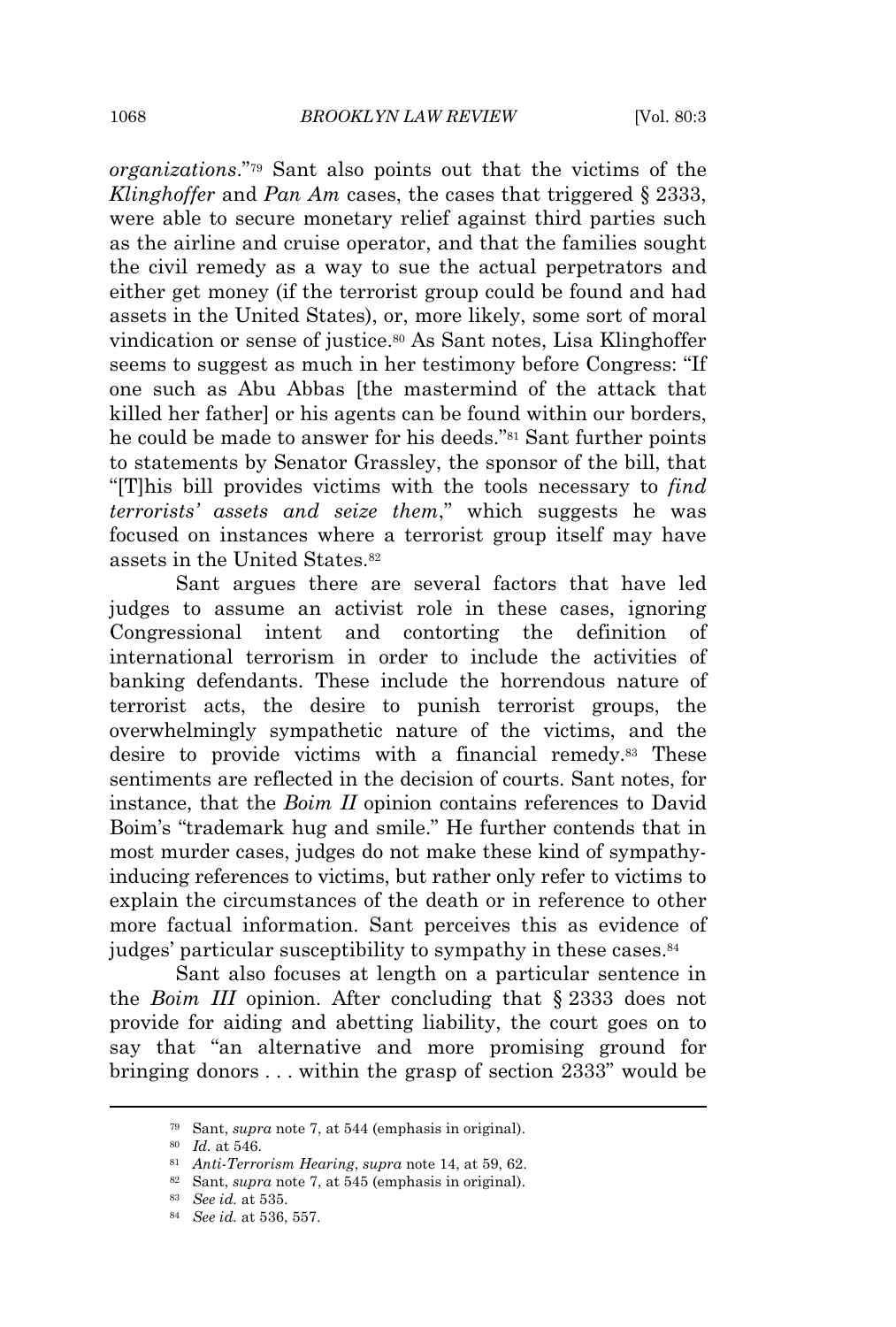*organizations*." <sup>79</sup> Sant also points out that the victims of the *Klinghoffer* and *Pan Am* cases, the cases that triggered § 2333, were able to secure monetary relief against third parties such as the airline and cruise operator, and that the families sought the civil remedy as a way to sue the actual perpetrators and either get money (if the terrorist group could be found and had assets in the United States), or, more likely, some sort of moral vindication or sense of justice.<sup>80</sup> As Sant notes, Lisa Klinghoffer seems to suggest as much in her testimony before Congress: "If one such as Abu Abbas [the mastermind of the attack that killed her father] or his agents can be found within our borders, he could be made to answer for his deeds."<sup>81</sup> Sant further points to statements by Senator Grassley, the sponsor of the bill, that "[T]his bill provides victims with the tools necessary to *find terrorists' assets and seize them*," which suggests he was focused on instances where a terrorist group itself may have assets in the United States.<sup>82</sup>

Sant argues there are several factors that have led judges to assume an activist role in these cases, ignoring Congressional intent and contorting the definition of international terrorism in order to include the activities of banking defendants. These include the horrendous nature of terrorist acts, the desire to punish terrorist groups, the overwhelmingly sympathetic nature of the victims, and the desire to provide victims with a financial remedy.<sup>83</sup> These sentiments are reflected in the decision of courts. Sant notes, for instance, that the *Boim II* opinion contains references to David Boim's "trademark hug and smile." He further contends that in most murder cases, judges do not make these kind of sympathyinducing references to victims, but rather only refer to victims to explain the circumstances of the death or in reference to other more factual information. Sant perceives this as evidence of judges' particular susceptibility to sympathy in these cases.<sup>84</sup>

Sant also focuses at length on a particular sentence in the *Boim III* opinion. After concluding that § 2333 does not provide for aiding and abetting liability, the court goes on to say that "an alternative and more promising ground for bringing donors . . . within the grasp of section 2333" would be

<sup>79</sup> Sant, *supra* note 7, at 544 (emphasis in original).

<sup>80</sup> *Id.* at 546.

<sup>81</sup> *Anti-Terrorism Hearing*, *supra* note 14, at 59, 62.

<sup>82</sup> Sant, *supra* note 7, at 545 (emphasis in original).

<sup>83</sup> *See id.* at 535.

<sup>84</sup> *See id.* at 536, 557.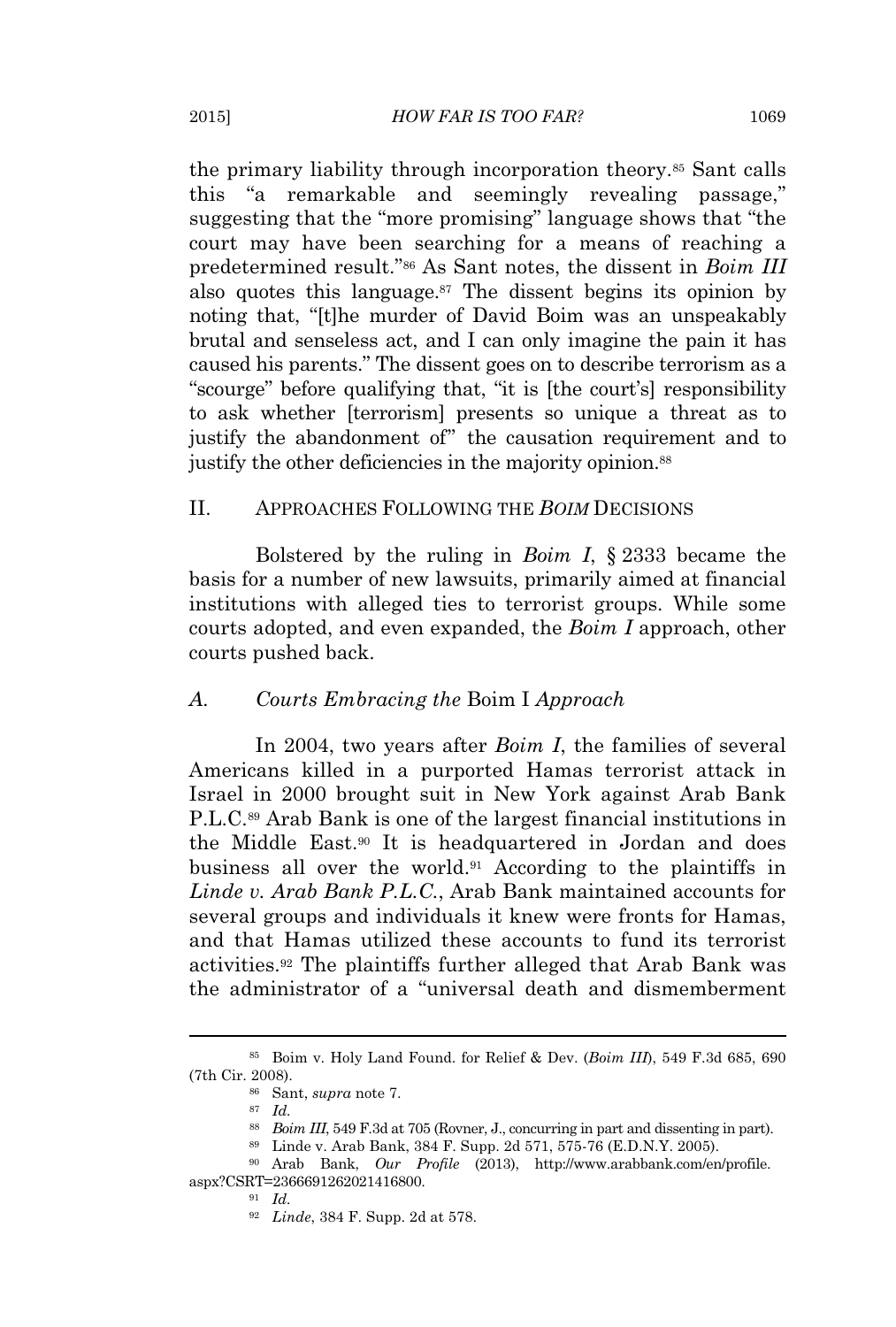the primary liability through incorporation theory.<sup>85</sup> Sant calls this "a remarkable and seemingly revealing passage," suggesting that the "more promising" language shows that "the court may have been searching for a means of reaching a predetermined result." <sup>86</sup> As Sant notes, the dissent in *Boim III* also quotes this language. $87$  The dissent begins its opinion by noting that, "[t]he murder of David Boim was an unspeakably brutal and senseless act, and I can only imagine the pain it has caused his parents." The dissent goes on to describe terrorism as a "scourge" before qualifying that, "it is [the court's] responsibility to ask whether [terrorism] presents so unique a threat as to justify the abandonment of" the causation requirement and to justify the other deficiencies in the majority opinion.<sup>88</sup>

#### II. APPROACHES FOLLOWING THE *BOIM* DECISIONS

Bolstered by the ruling in *Boim I*, § 2333 became the basis for a number of new lawsuits, primarily aimed at financial institutions with alleged ties to terrorist groups. While some courts adopted, and even expanded, the *Boim I* approach, other courts pushed back.

#### *A. Courts Embracing the* Boim I *Approach*

In 2004, two years after *Boim I*, the families of several Americans killed in a purported Hamas terrorist attack in Israel in 2000 brought suit in New York against Arab Bank P.L.C.<sup>89</sup> Arab Bank is one of the largest financial institutions in the Middle East.<sup>90</sup> It is headquartered in Jordan and does business all over the world.<sup>91</sup> According to the plaintiffs in *Linde v. Arab Bank P.L.C.*, Arab Bank maintained accounts for several groups and individuals it knew were fronts for Hamas, and that Hamas utilized these accounts to fund its terrorist activities.<sup>92</sup> The plaintiffs further alleged that Arab Bank was the administrator of a "universal death and dismemberment

<sup>85</sup> Boim v. Holy Land Found. for Relief & Dev. (*Boim III*), 549 F.3d 685, 690 (7th Cir. 2008).

<sup>86</sup> Sant, *supra* note 7.

<sup>87</sup> *Id.*

<sup>88</sup> *Boim III*, 549 F.3d at 705 (Rovner, J., concurring in part and dissenting in part).

<sup>89</sup> Linde v. Arab Bank, 384 F. Supp. 2d 571, 575-76 (E.D.N.Y. 2005).

<sup>90</sup> Arab Bank, *Our Profile* (2013), http://www.arabbank.com/en/profile. aspx?CSRT=2366691262021416800.

<sup>91</sup> *Id.*

<sup>92</sup> *Linde*, 384 F. Supp. 2d at 578.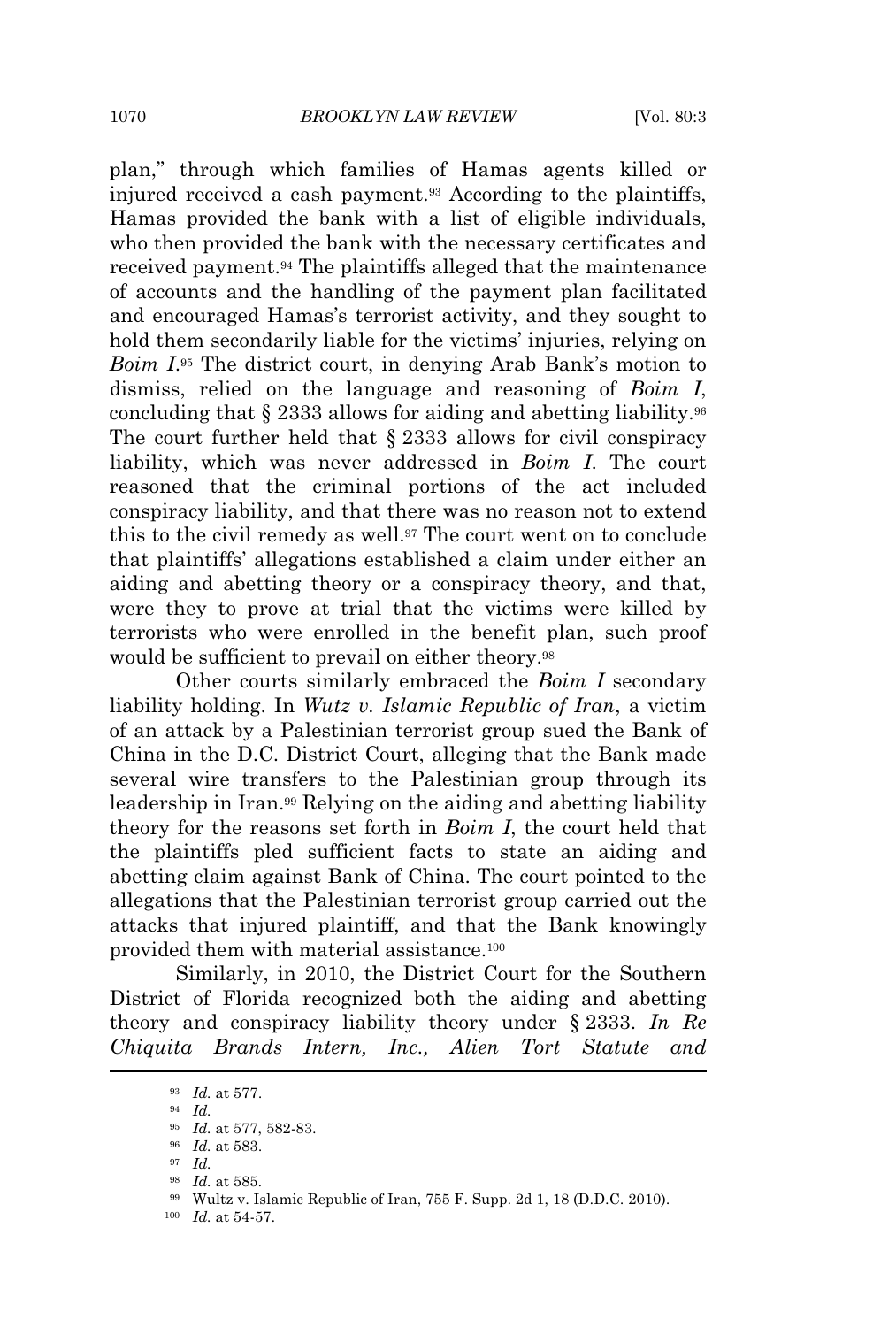plan," through which families of Hamas agents killed or injured received a cash payment.<sup>93</sup> According to the plaintiffs, Hamas provided the bank with a list of eligible individuals, who then provided the bank with the necessary certificates and received payment.<sup>94</sup> The plaintiffs alleged that the maintenance of accounts and the handling of the payment plan facilitated and encouraged Hamas's terrorist activity, and they sought to hold them secondarily liable for the victims' injuries, relying on *Boim I*. <sup>95</sup> The district court, in denying Arab Bank's motion to dismiss, relied on the language and reasoning of *Boim I*, concluding that  $\S 2333$  allows for aiding and abetting liability.<sup>96</sup> The court further held that § 2333 allows for civil conspiracy liability, which was never addressed in *Boim I*. The court reasoned that the criminal portions of the act included conspiracy liability, and that there was no reason not to extend this to the civil remedy as well.<sup>97</sup> The court went on to conclude that plaintiffs' allegations established a claim under either an aiding and abetting theory or a conspiracy theory, and that, were they to prove at trial that the victims were killed by terrorists who were enrolled in the benefit plan, such proof would be sufficient to prevail on either theory.<sup>98</sup>

Other courts similarly embraced the *Boim I* secondary liability holding. In *Wutz v. Islamic Republic of Iran*, a victim of an attack by a Palestinian terrorist group sued the Bank of China in the D.C. District Court, alleging that the Bank made several wire transfers to the Palestinian group through its leadership in Iran.<sup>99</sup> Relying on the aiding and abetting liability theory for the reasons set forth in *Boim I*, the court held that the plaintiffs pled sufficient facts to state an aiding and abetting claim against Bank of China. The court pointed to the allegations that the Palestinian terrorist group carried out the attacks that injured plaintiff, and that the Bank knowingly provided them with material assistance.<sup>100</sup>

Similarly, in 2010, the District Court for the Southern District of Florida recognized both the aiding and abetting theory and conspiracy liability theory under § 2333. *In Re Chiquita Brands Intern, Inc., Alien Tort Statute and*

<sup>93</sup> *Id.* at 577.

<sup>94</sup> *Id.*

<sup>95</sup> *Id.* at 577, 582-83.

<sup>96</sup> *Id.* at 583.

<sup>97</sup> *Id.*

<sup>98</sup> *Id.* at 585.

<sup>99</sup> Wultz v. Islamic Republic of Iran, 755 F. Supp. 2d 1, 18 (D.D.C. 2010).

<sup>100</sup> *Id.* at 54-57.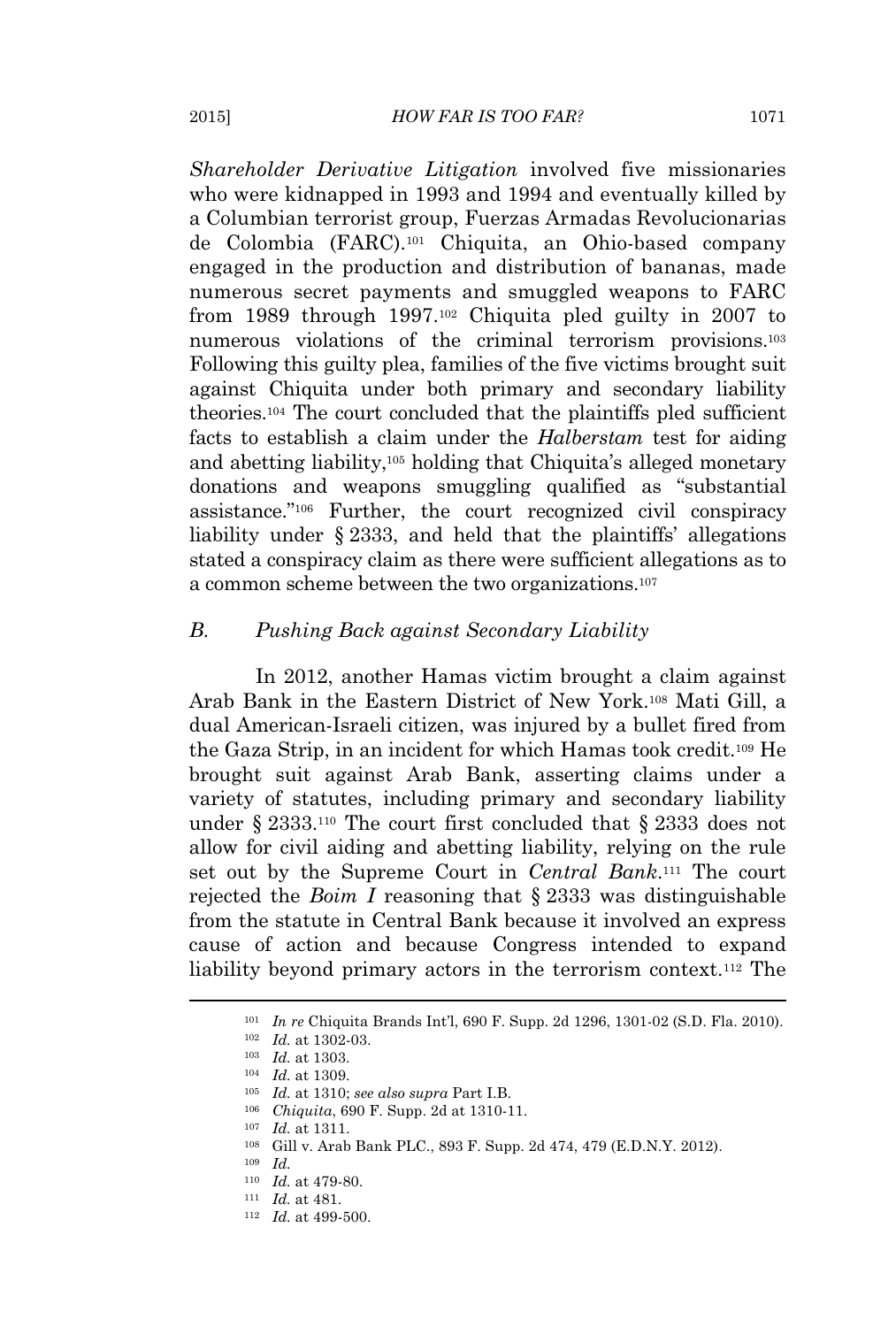*Shareholder Derivative Litigation* involved five missionaries who were kidnapped in 1993 and 1994 and eventually killed by a Columbian terrorist group, Fuerzas Armadas Revolucionarias de Colombia (FARC).<sup>101</sup> Chiquita, an Ohio-based company engaged in the production and distribution of bananas, made numerous secret payments and smuggled weapons to FARC from 1989 through 1997.<sup>102</sup> Chiquita pled guilty in 2007 to numerous violations of the criminal terrorism provisions.<sup>103</sup> Following this guilty plea, families of the five victims brought suit against Chiquita under both primary and secondary liability theories.<sup>104</sup> The court concluded that the plaintiffs pled sufficient facts to establish a claim under the *Halberstam* test for aiding and abetting liability,<sup>105</sup> holding that Chiquita's alleged monetary donations and weapons smuggling qualified as "substantial assistance." <sup>106</sup> Further, the court recognized civil conspiracy liability under § 2333, and held that the plaintiffs' allegations stated a conspiracy claim as there were sufficient allegations as to a common scheme between the two organizations.<sup>107</sup>

#### *B. Pushing Back against Secondary Liability*

In 2012, another Hamas victim brought a claim against Arab Bank in the Eastern District of New York.<sup>108</sup> Mati Gill, a dual American-Israeli citizen, was injured by a bullet fired from the Gaza Strip, in an incident for which Hamas took credit.<sup>109</sup> He brought suit against Arab Bank, asserting claims under a variety of statutes, including primary and secondary liability under § 2333.<sup>110</sup> The court first concluded that § 2333 does not allow for civil aiding and abetting liability, relying on the rule set out by the Supreme Court in *Central Bank*. <sup>111</sup> The court rejected the *Boim I* reasoning that § 2333 was distinguishable from the statute in Central Bank because it involved an express cause of action and because Congress intended to expand liability beyond primary actors in the terrorism context.<sup>112</sup> The

<sup>101</sup> *In re* Chiquita Brands Int'l, 690 F. Supp. 2d 1296, 1301-02 (S.D. Fla. 2010).

<sup>102</sup> *Id.* at 1302-03.

<sup>103</sup> *Id.* at 1303.

<sup>104</sup> *Id.* at 1309.

<sup>105</sup> *Id.* at 1310; *see also supra* Part I.B.

<sup>106</sup> *Chiquita*, 690 F. Supp. 2d at 1310-11.

<sup>107</sup> *Id.* at 1311.

<sup>108</sup> Gill v. Arab Bank PLC., 893 F. Supp. 2d 474, 479 (E.D.N.Y. 2012).

<sup>109</sup> *Id.*

<sup>110</sup> *Id.* at 479-80.

<sup>111</sup> *Id.* at 481.

<sup>112</sup> *Id.* at 499-500.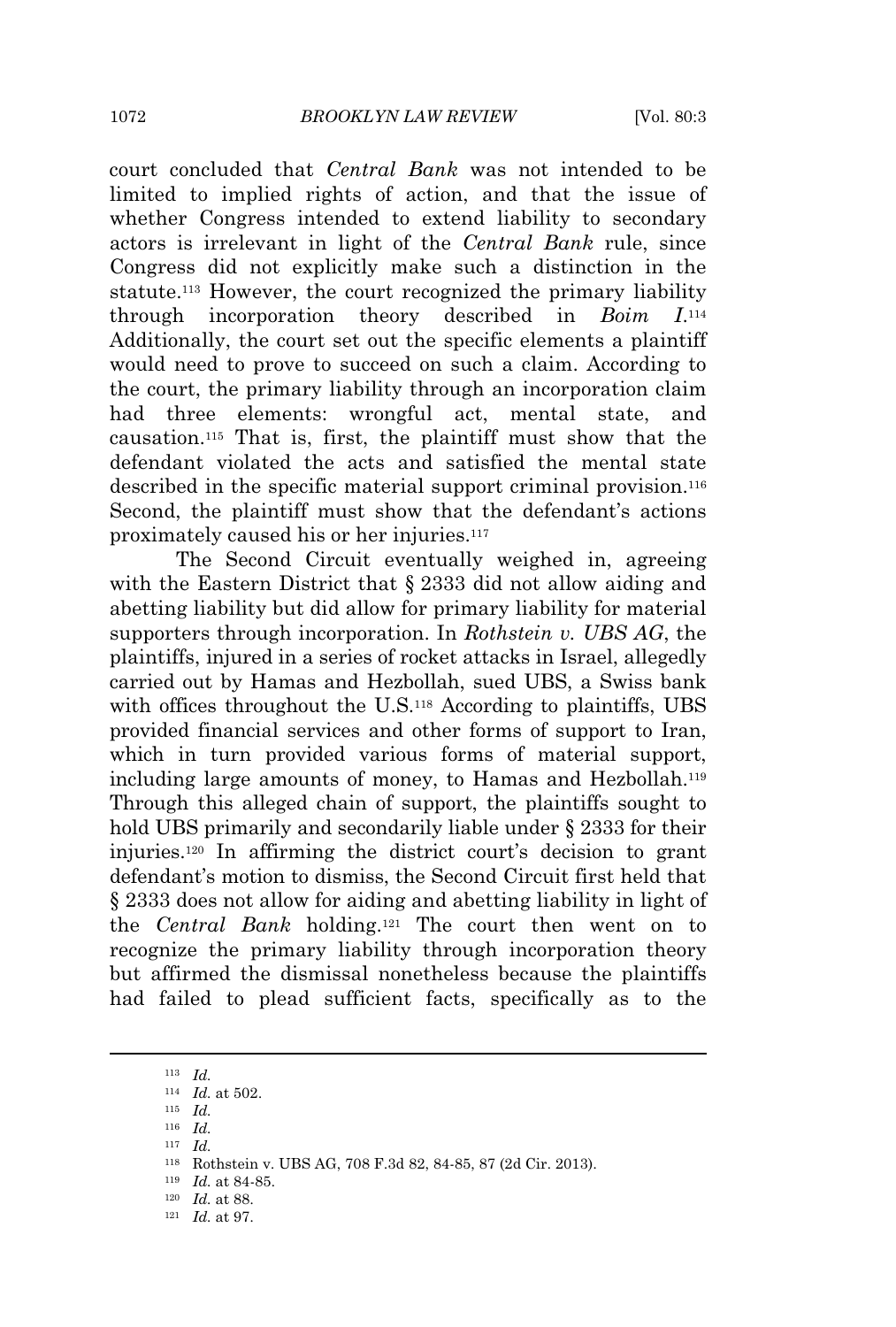court concluded that *Central Bank* was not intended to be limited to implied rights of action, and that the issue of whether Congress intended to extend liability to secondary actors is irrelevant in light of the *Central Bank* rule, since Congress did not explicitly make such a distinction in the statute.<sup>113</sup> However, the court recognized the primary liability through incorporation theory described in *Boim I*.  $I<sub>114</sub>$ Additionally, the court set out the specific elements a plaintiff would need to prove to succeed on such a claim. According to the court, the primary liability through an incorporation claim had three elements: wrongful act, mental state, and causation.<sup>115</sup> That is, first, the plaintiff must show that the defendant violated the acts and satisfied the mental state described in the specific material support criminal provision.<sup>116</sup> Second, the plaintiff must show that the defendant's actions proximately caused his or her injuries.<sup>117</sup>

The Second Circuit eventually weighed in, agreeing with the Eastern District that § 2333 did not allow aiding and abetting liability but did allow for primary liability for material supporters through incorporation. In *Rothstein v. UBS AG*, the plaintiffs, injured in a series of rocket attacks in Israel, allegedly carried out by Hamas and Hezbollah, sued UBS, a Swiss bank with offices throughout the U.S.<sup>118</sup> According to plaintiffs, UBS provided financial services and other forms of support to Iran, which in turn provided various forms of material support, including large amounts of money, to Hamas and Hezbollah.<sup>119</sup> Through this alleged chain of support, the plaintiffs sought to hold UBS primarily and secondarily liable under § 2333 for their injuries.<sup>120</sup> In affirming the district court's decision to grant defendant's motion to dismiss, the Second Circuit first held that § 2333 does not allow for aiding and abetting liability in light of the *Central Bank* holding.<sup>121</sup> The court then went on to recognize the primary liability through incorporation theory but affirmed the dismissal nonetheless because the plaintiffs had failed to plead sufficient facts, specifically as to the

<sup>113</sup> *Id.*

<sup>114</sup> *Id.* at 502.

<sup>115</sup> *Id.*

<sup>116</sup> *Id.* <sup>117</sup> *Id.*

<sup>118</sup> Rothstein v. UBS AG, 708 F.3d 82, 84-85, 87 (2d Cir. 2013).

<sup>119</sup> *Id.* at 84-85.

<sup>120</sup> *Id.* at 88.

<sup>121</sup> *Id.* at 97.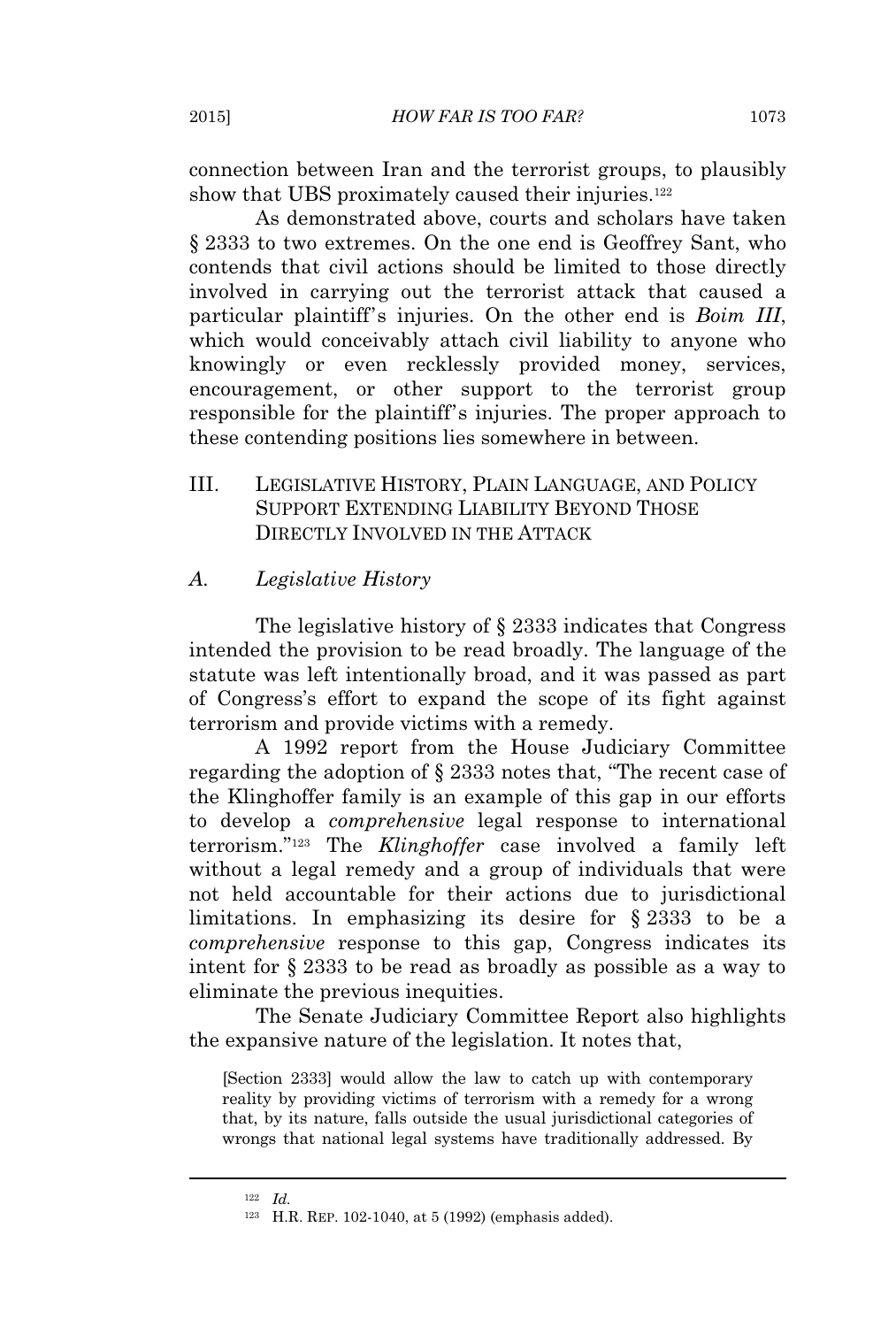connection between Iran and the terrorist groups, to plausibly show that UBS proximately caused their injuries.<sup>122</sup>

As demonstrated above, courts and scholars have taken § 2333 to two extremes. On the one end is Geoffrey Sant, who contends that civil actions should be limited to those directly involved in carrying out the terrorist attack that caused a particular plaintiff's injuries. On the other end is *Boim III*, which would conceivably attach civil liability to anyone who knowingly or even recklessly provided money, services, encouragement, or other support to the terrorist group responsible for the plaintiff's injuries. The proper approach to these contending positions lies somewhere in between.

III. LEGISLATIVE HISTORY, PLAIN LANGUAGE, AND POLICY SUPPORT EXTENDING LIABILITY BEYOND THOSE DIRECTLY INVOLVED IN THE ATTACK

#### *A. Legislative History*

The legislative history of § 2333 indicates that Congress intended the provision to be read broadly. The language of the statute was left intentionally broad, and it was passed as part of Congress's effort to expand the scope of its fight against terrorism and provide victims with a remedy.

A 1992 report from the House Judiciary Committee regarding the adoption of § 2333 notes that, "The recent case of the Klinghoffer family is an example of this gap in our efforts to develop a *comprehensive* legal response to international terrorism." <sup>123</sup> The *Klinghoffer* case involved a family left without a legal remedy and a group of individuals that were not held accountable for their actions due to jurisdictional limitations. In emphasizing its desire for § 2333 to be a *comprehensive* response to this gap, Congress indicates its intent for § 2333 to be read as broadly as possible as a way to eliminate the previous inequities.

The Senate Judiciary Committee Report also highlights the expansive nature of the legislation. It notes that,

[Section 2333] would allow the law to catch up with contemporary reality by providing victims of terrorism with a remedy for a wrong that, by its nature, falls outside the usual jurisdictional categories of wrongs that national legal systems have traditionally addressed. By

<sup>122</sup> *Id.*

<sup>123</sup> H.R. REP. 102-1040, at 5 (1992) (emphasis added).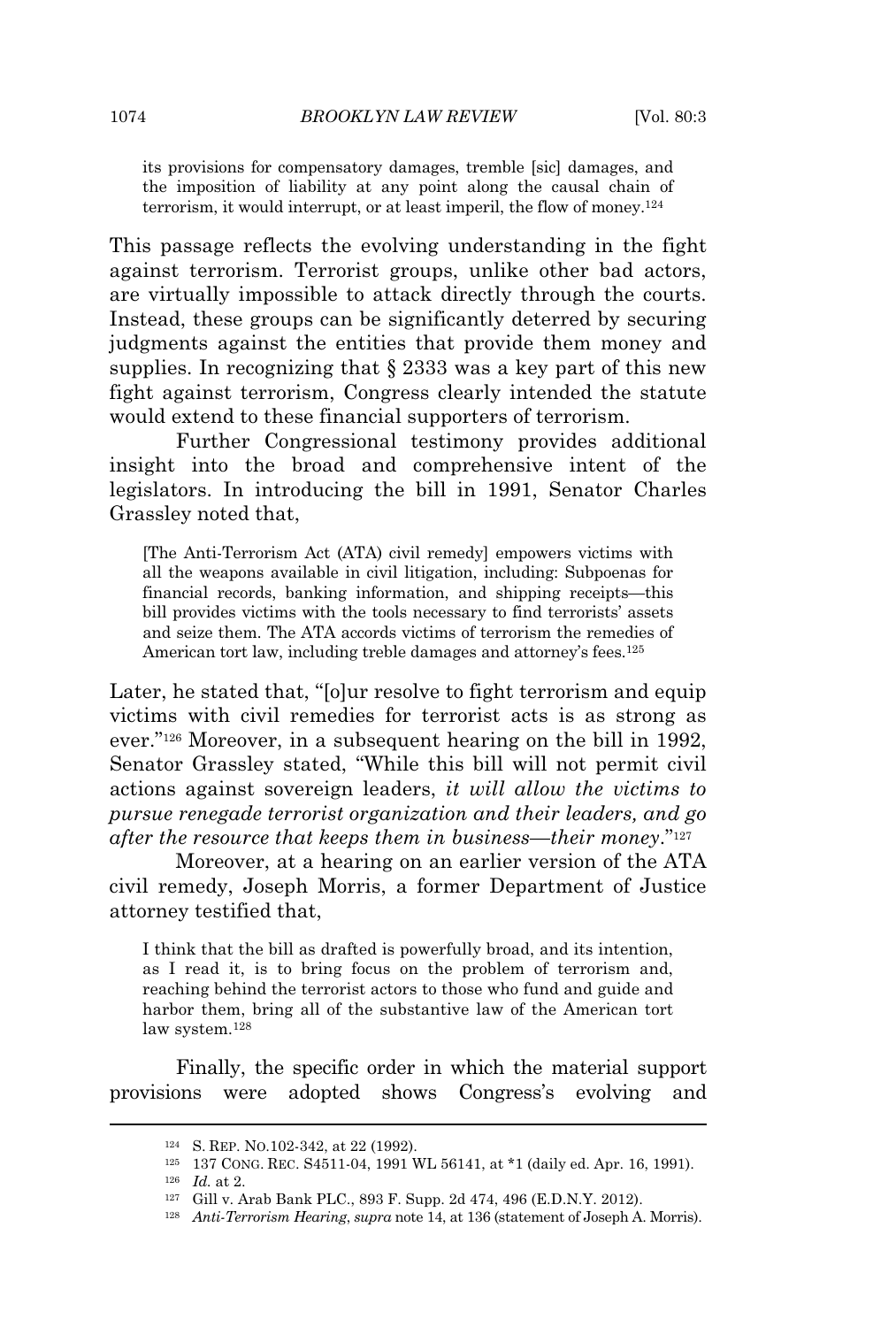its provisions for compensatory damages, tremble [sic] damages, and the imposition of liability at any point along the causal chain of terrorism, it would interrupt, or at least imperil, the flow of money.<sup>124</sup>

This passage reflects the evolving understanding in the fight against terrorism. Terrorist groups, unlike other bad actors, are virtually impossible to attack directly through the courts. Instead, these groups can be significantly deterred by securing judgments against the entities that provide them money and supplies. In recognizing that § 2333 was a key part of this new fight against terrorism, Congress clearly intended the statute would extend to these financial supporters of terrorism.

Further Congressional testimony provides additional insight into the broad and comprehensive intent of the legislators. In introducing the bill in 1991, Senator Charles Grassley noted that,

[The Anti-Terrorism Act (ATA) civil remedy] empowers victims with all the weapons available in civil litigation, including: Subpoenas for financial records, banking information, and shipping receipts—this bill provides victims with the tools necessary to find terrorists' assets and seize them. The ATA accords victims of terrorism the remedies of American tort law, including treble damages and attorney's fees.<sup>125</sup>

Later, he stated that, "[o]ur resolve to fight terrorism and equip victims with civil remedies for terrorist acts is as strong as ever." <sup>126</sup> Moreover, in a subsequent hearing on the bill in 1992, Senator Grassley stated, "While this bill will not permit civil actions against sovereign leaders, *it will allow the victims to pursue renegade terrorist organization and their leaders, and go after the resource that keeps them in business—their money*." 127

Moreover, at a hearing on an earlier version of the ATA civil remedy, Joseph Morris, a former Department of Justice attorney testified that,

I think that the bill as drafted is powerfully broad, and its intention, as I read it, is to bring focus on the problem of terrorism and, reaching behind the terrorist actors to those who fund and guide and harbor them, bring all of the substantive law of the American tort law system.<sup>128</sup>

Finally, the specific order in which the material support provisions were adopted shows Congress's evolving and

<sup>124</sup> S. REP. NO.102-342, at 22 (1992).

<sup>125</sup> 137 CONG. REC. S4511-04, 1991 WL 56141, at \*1 (daily ed. Apr. 16, 1991).

<sup>126</sup> *Id.* at 2.

<sup>127</sup> Gill v. Arab Bank PLC., 893 F. Supp. 2d 474, 496 (E.D.N.Y. 2012).

<sup>128</sup> *Anti-Terrorism Hearing*, *supra* note 14, at 136 (statement of Joseph A. Morris).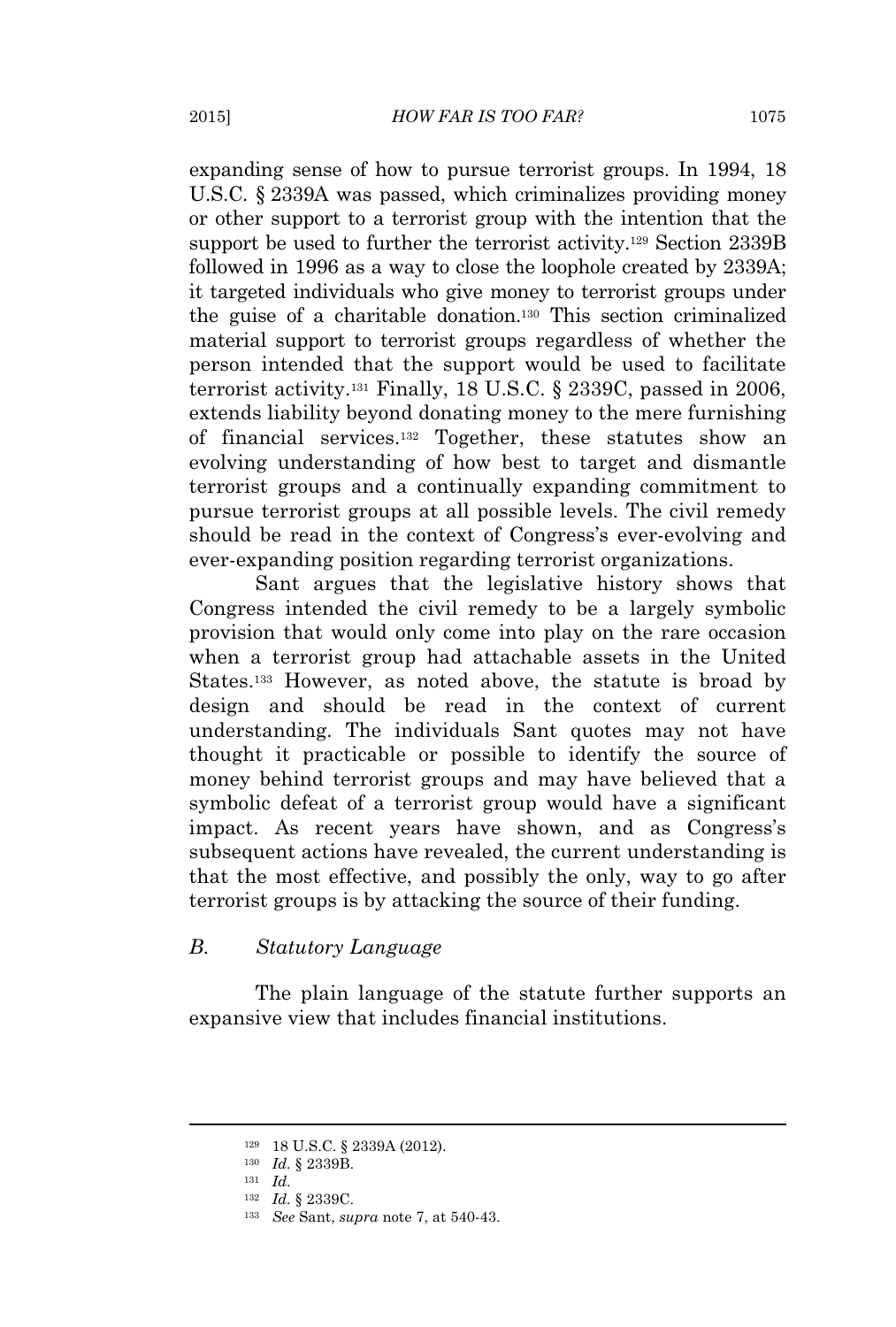expanding sense of how to pursue terrorist groups. In 1994, 18 U.S.C. § 2339A was passed, which criminalizes providing money or other support to a terrorist group with the intention that the support be used to further the terrorist activity.<sup>129</sup> Section 2339B followed in 1996 as a way to close the loophole created by 2339A; it targeted individuals who give money to terrorist groups under the guise of a charitable donation.<sup>130</sup> This section criminalized material support to terrorist groups regardless of whether the person intended that the support would be used to facilitate terrorist activity.<sup>131</sup> Finally, 18 U.S.C. § 2339C, passed in 2006, extends liability beyond donating money to the mere furnishing of financial services.<sup>132</sup> Together, these statutes show an evolving understanding of how best to target and dismantle terrorist groups and a continually expanding commitment to pursue terrorist groups at all possible levels. The civil remedy should be read in the context of Congress's ever-evolving and ever-expanding position regarding terrorist organizations.

Sant argues that the legislative history shows that Congress intended the civil remedy to be a largely symbolic provision that would only come into play on the rare occasion when a terrorist group had attachable assets in the United States.<sup>133</sup> However, as noted above, the statute is broad by design and should be read in the context of current understanding. The individuals Sant quotes may not have thought it practicable or possible to identify the source of money behind terrorist groups and may have believed that a symbolic defeat of a terrorist group would have a significant impact. As recent years have shown, and as Congress's subsequent actions have revealed, the current understanding is that the most effective, and possibly the only, way to go after terrorist groups is by attacking the source of their funding.

#### *B. Statutory Language*

The plain language of the statute further supports an expansive view that includes financial institutions.

<sup>129</sup> 18 U.S.C. § 2339A (2012).

<sup>130</sup> *Id.* § 2339B.

<sup>131</sup> *Id.*

<sup>132</sup> *Id.* § 2339C.

<sup>133</sup> *See* Sant, *supra* note 7, at 540-43.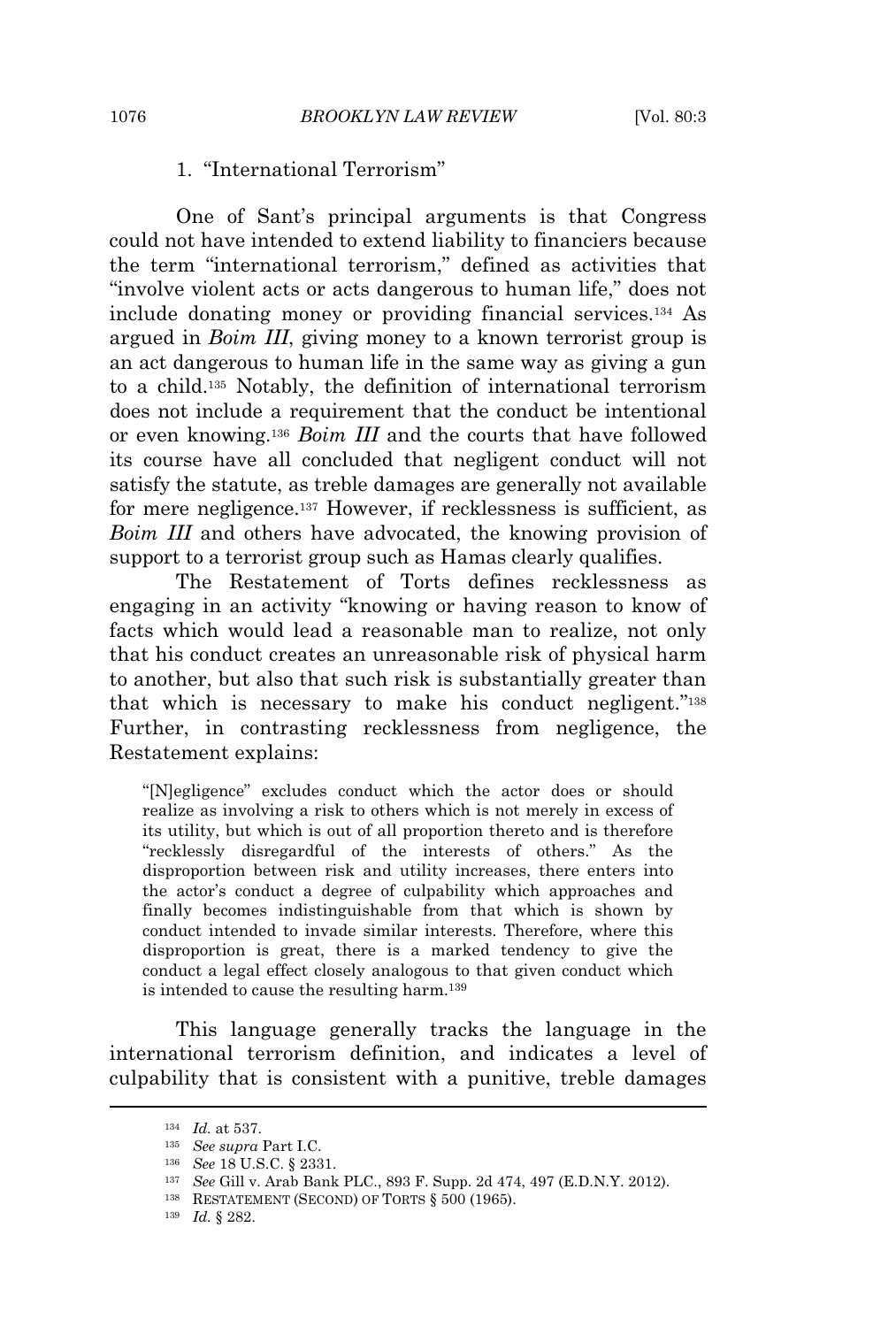# 1. "International Terrorism"

One of Sant's principal arguments is that Congress could not have intended to extend liability to financiers because the term "international terrorism," defined as activities that "involve violent acts or acts dangerous to human life," does not include donating money or providing financial services.<sup>134</sup> As argued in *Boim III*, giving money to a known terrorist group is an act dangerous to human life in the same way as giving a gun to a child.<sup>135</sup> Notably, the definition of international terrorism does not include a requirement that the conduct be intentional or even knowing.<sup>136</sup> *Boim III* and the courts that have followed its course have all concluded that negligent conduct will not satisfy the statute, as treble damages are generally not available for mere negligence.<sup>137</sup> However, if recklessness is sufficient, as *Boim III* and others have advocated, the knowing provision of support to a terrorist group such as Hamas clearly qualifies.

The Restatement of Torts defines recklessness as engaging in an activity "knowing or having reason to know of facts which would lead a reasonable man to realize, not only that his conduct creates an unreasonable risk of physical harm to another, but also that such risk is substantially greater than that which is necessary to make his conduct negligent." 138 Further, in contrasting recklessness from negligence, the Restatement explains:

"[N]egligence" excludes conduct which the actor does or should realize as involving a risk to others which is not merely in excess of its utility, but which is out of all proportion thereto and is therefore "recklessly disregardful of the interests of others." As the disproportion between risk and utility increases, there enters into the actor's conduct a degree of culpability which approaches and finally becomes indistinguishable from that which is shown by conduct intended to invade similar interests. Therefore, where this disproportion is great, there is a marked tendency to give the conduct a legal effect closely analogous to that given conduct which is intended to cause the resulting harm.<sup>139</sup>

This language generally tracks the language in the international terrorism definition, and indicates a level of culpability that is consistent with a punitive, treble damages

<sup>134</sup> *Id.* at 537.

<sup>135</sup> *See supra* Part I.C.

<sup>136</sup> *See* 18 U.S.C. § 2331.

<sup>137</sup> *See* Gill v. Arab Bank PLC., 893 F. Supp. 2d 474, 497 (E.D.N.Y. 2012).

<sup>138</sup> RESTATEMENT (SECOND) OF TORTS § 500 (1965).

<sup>139</sup> *Id.* § 282.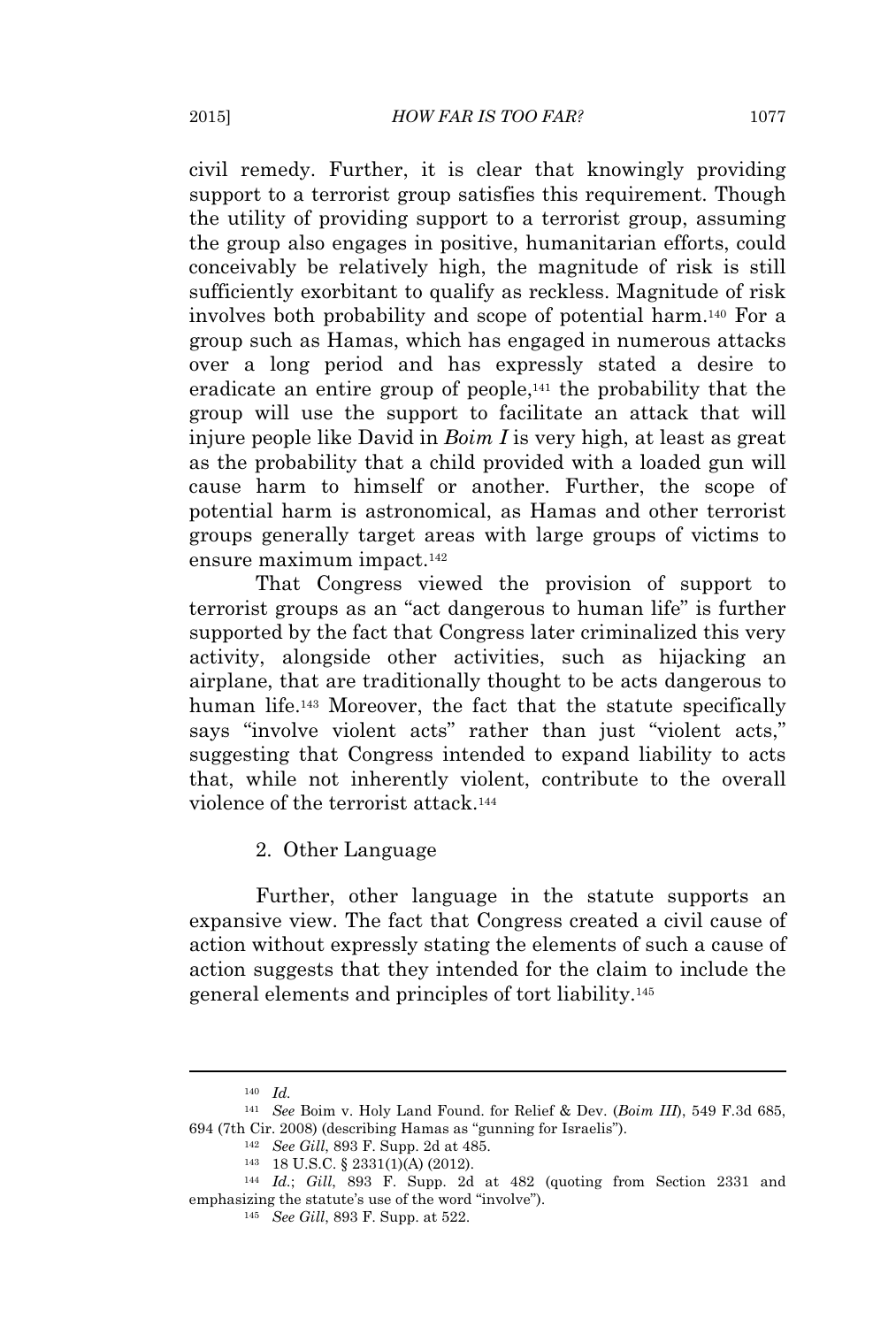civil remedy. Further, it is clear that knowingly providing support to a terrorist group satisfies this requirement. Though the utility of providing support to a terrorist group, assuming the group also engages in positive, humanitarian efforts, could conceivably be relatively high, the magnitude of risk is still sufficiently exorbitant to qualify as reckless. Magnitude of risk involves both probability and scope of potential harm.<sup>140</sup> For a group such as Hamas, which has engaged in numerous attacks over a long period and has expressly stated a desire to eradicate an entire group of people,<sup>141</sup> the probability that the group will use the support to facilitate an attack that will injure people like David in *Boim I* is very high, at least as great as the probability that a child provided with a loaded gun will cause harm to himself or another. Further, the scope of potential harm is astronomical, as Hamas and other terrorist groups generally target areas with large groups of victims to ensure maximum impact.<sup>142</sup>

That Congress viewed the provision of support to terrorist groups as an "act dangerous to human life" is further supported by the fact that Congress later criminalized this very activity, alongside other activities, such as hijacking an airplane, that are traditionally thought to be acts dangerous to human life.<sup>143</sup> Moreover, the fact that the statute specifically says "involve violent acts" rather than just "violent acts," suggesting that Congress intended to expand liability to acts that, while not inherently violent, contribute to the overall violence of the terrorist attack.<sup>144</sup>

#### 2. Other Language

Further, other language in the statute supports an expansive view. The fact that Congress created a civil cause of action without expressly stating the elements of such a cause of action suggests that they intended for the claim to include the general elements and principles of tort liability.<sup>145</sup>

<sup>140</sup> *Id.*

<sup>141</sup> *See* Boim v. Holy Land Found. for Relief & Dev. (*Boim III*), 549 F.3d 685, 694 (7th Cir. 2008) (describing Hamas as "gunning for Israelis").

<sup>142</sup> *See Gill*, 893 F. Supp. 2d at 485.

<sup>143</sup> 18 U.S.C. § 2331(1)(A) (2012).

<sup>144</sup> *Id.*; *Gill*, 893 F. Supp. 2d at 482 (quoting from Section 2331 and emphasizing the statute's use of the word "involve").

<sup>145</sup> *See Gill*, 893 F. Supp. at 522.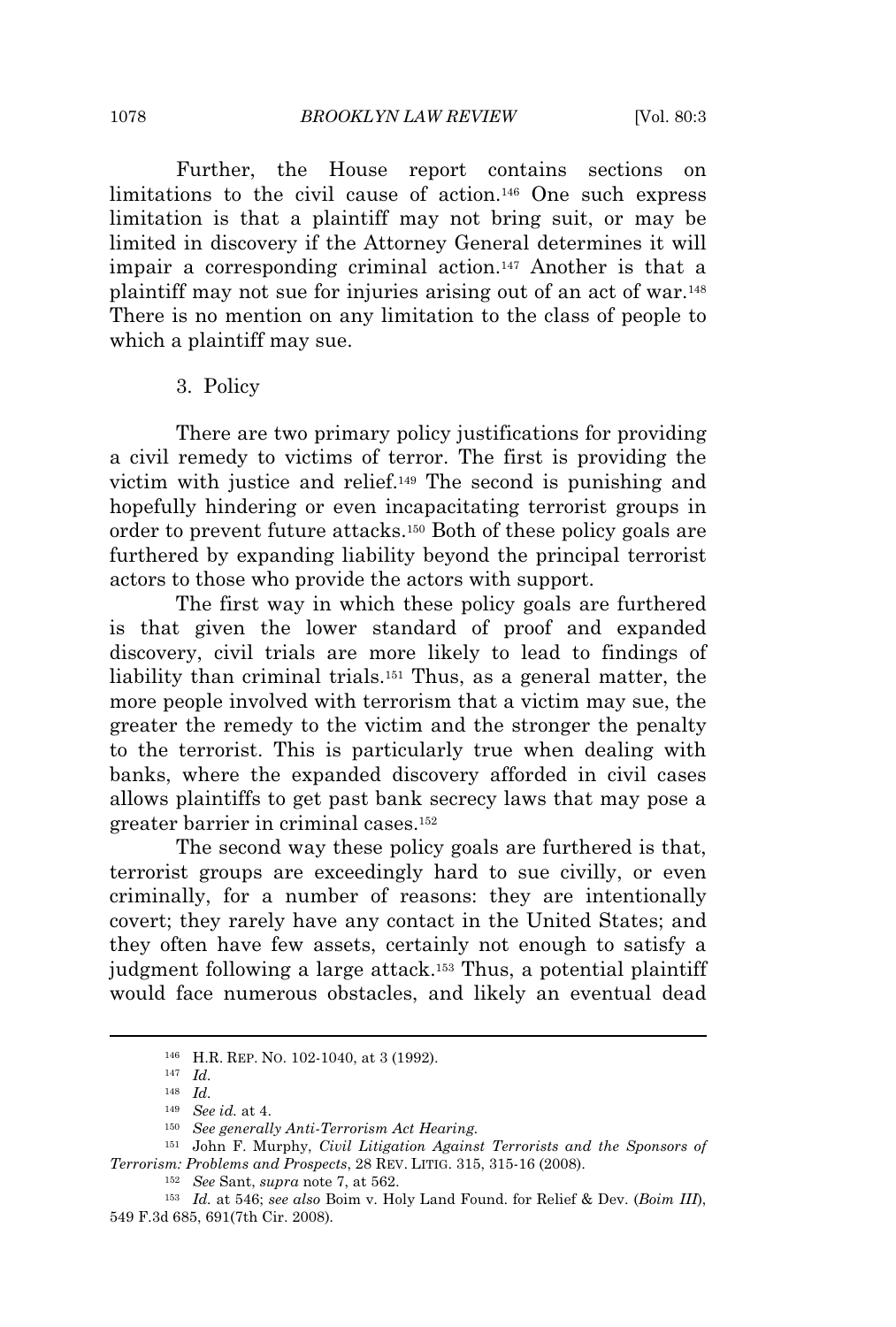Further, the House report contains sections on limitations to the civil cause of action.<sup>146</sup> One such express limitation is that a plaintiff may not bring suit, or may be limited in discovery if the Attorney General determines it will impair a corresponding criminal action.<sup>147</sup> Another is that a plaintiff may not sue for injuries arising out of an act of war.<sup>148</sup> There is no mention on any limitation to the class of people to which a plaintiff may sue.

#### 3. Policy

There are two primary policy justifications for providing a civil remedy to victims of terror. The first is providing the victim with justice and relief.<sup>149</sup> The second is punishing and hopefully hindering or even incapacitating terrorist groups in order to prevent future attacks.<sup>150</sup> Both of these policy goals are furthered by expanding liability beyond the principal terrorist actors to those who provide the actors with support.

The first way in which these policy goals are furthered is that given the lower standard of proof and expanded discovery, civil trials are more likely to lead to findings of liability than criminal trials.<sup>151</sup> Thus, as a general matter, the more people involved with terrorism that a victim may sue, the greater the remedy to the victim and the stronger the penalty to the terrorist. This is particularly true when dealing with banks, where the expanded discovery afforded in civil cases allows plaintiffs to get past bank secrecy laws that may pose a greater barrier in criminal cases.<sup>152</sup>

The second way these policy goals are furthered is that, terrorist groups are exceedingly hard to sue civilly, or even criminally, for a number of reasons: they are intentionally covert; they rarely have any contact in the United States; and they often have few assets, certainly not enough to satisfy a judgment following a large attack.<sup>153</sup> Thus, a potential plaintiff would face numerous obstacles, and likely an eventual dead

<sup>146</sup> H.R. REP. NO. 102-1040, at 3 (1992).

<sup>147</sup> *Id.*

<sup>148</sup> *Id.*

<sup>149</sup> *See id.* at 4.

<sup>150</sup> *See generally Anti-Terrorism Act Hearing.*

<sup>151</sup> John F. Murphy, *Civil Litigation Against Terrorists and the Sponsors of Terrorism: Problems and Prospects*, 28 REV. LITIG. 315, 315-16 (2008).

<sup>152</sup> *See* Sant, *supra* note 7, at 562.

<sup>153</sup> *Id.* at 546; *see also* Boim v. Holy Land Found. for Relief & Dev. (*Boim III*), 549 F.3d 685, 691(7th Cir. 2008)*.*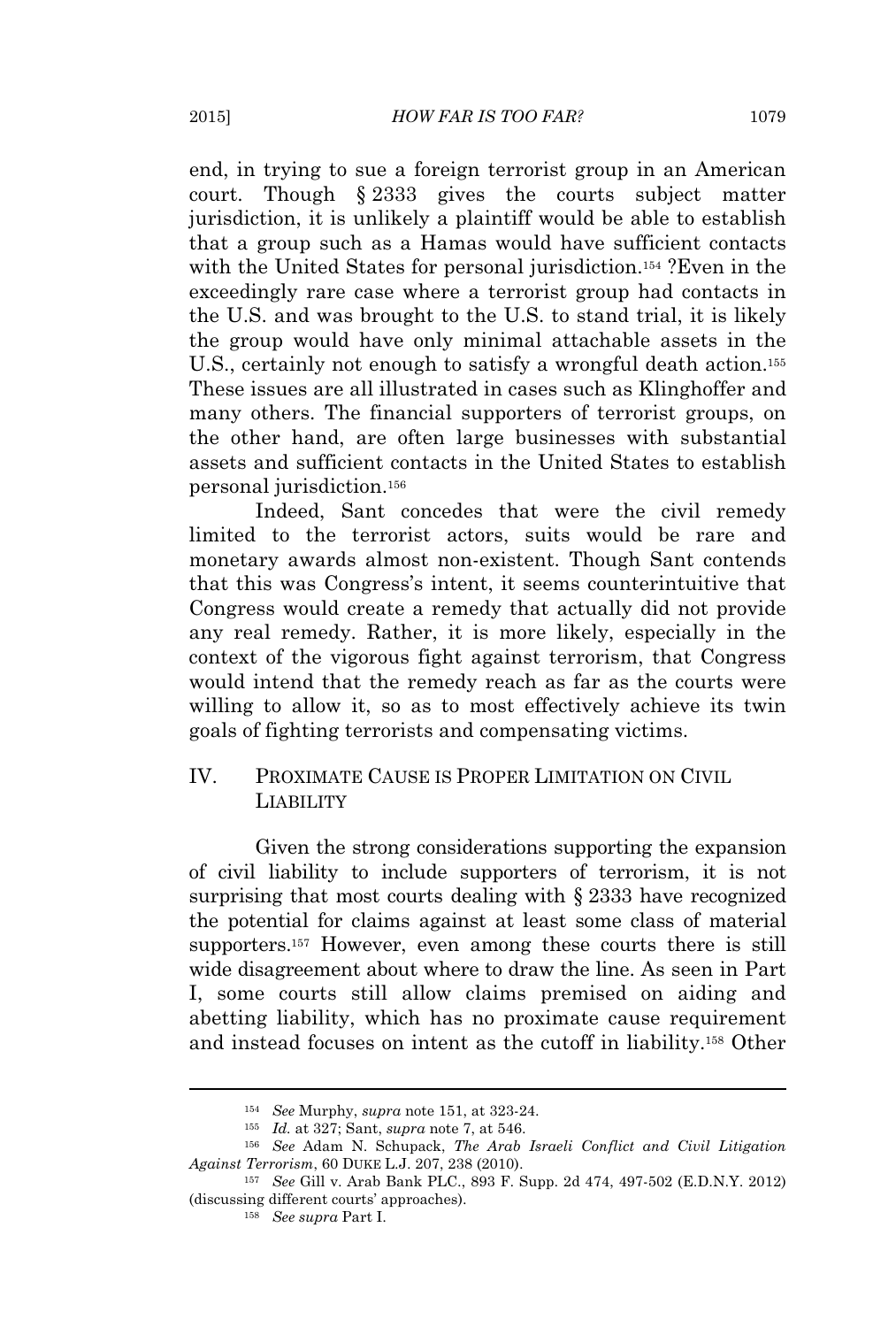end, in trying to sue a foreign terrorist group in an American court. Though § 2333 gives the courts subject matter jurisdiction, it is unlikely a plaintiff would be able to establish that a group such as a Hamas would have sufficient contacts with the United States for personal jurisdiction.<sup>154</sup> ?Even in the exceedingly rare case where a terrorist group had contacts in the U.S. and was brought to the U.S. to stand trial, it is likely the group would have only minimal attachable assets in the U.S., certainly not enough to satisfy a wrongful death action.<sup>155</sup> These issues are all illustrated in cases such as Klinghoffer and many others. The financial supporters of terrorist groups, on the other hand, are often large businesses with substantial assets and sufficient contacts in the United States to establish personal jurisdiction.<sup>156</sup>

Indeed, Sant concedes that were the civil remedy limited to the terrorist actors, suits would be rare and monetary awards almost non-existent. Though Sant contends that this was Congress's intent, it seems counterintuitive that Congress would create a remedy that actually did not provide any real remedy. Rather, it is more likely, especially in the context of the vigorous fight against terrorism, that Congress would intend that the remedy reach as far as the courts were willing to allow it, so as to most effectively achieve its twin goals of fighting terrorists and compensating victims.

# IV. PROXIMATE CAUSE IS PROPER LIMITATION ON CIVIL LIABILITY

Given the strong considerations supporting the expansion of civil liability to include supporters of terrorism, it is not surprising that most courts dealing with § 2333 have recognized the potential for claims against at least some class of material supporters.<sup>157</sup> However, even among these courts there is still wide disagreement about where to draw the line. As seen in Part I, some courts still allow claims premised on aiding and abetting liability, which has no proximate cause requirement and instead focuses on intent as the cutoff in liability.<sup>158</sup> Other

<sup>154</sup> *See* Murphy, *supra* note 151, at 323-24.

<sup>155</sup> *Id.* at 327; Sant, *supra* note 7, at 546.

<sup>156</sup> *See* Adam N. Schupack, *The Arab Israeli Conflict and Civil Litigation Against Terrorism*, 60 DUKE L.J. 207, 238 (2010).

<sup>157</sup> *See* Gill v. Arab Bank PLC., 893 F. Supp. 2d 474, 497-502 (E.D.N.Y. 2012) (discussing different courts' approaches).

<sup>158</sup> *See supra* Part I.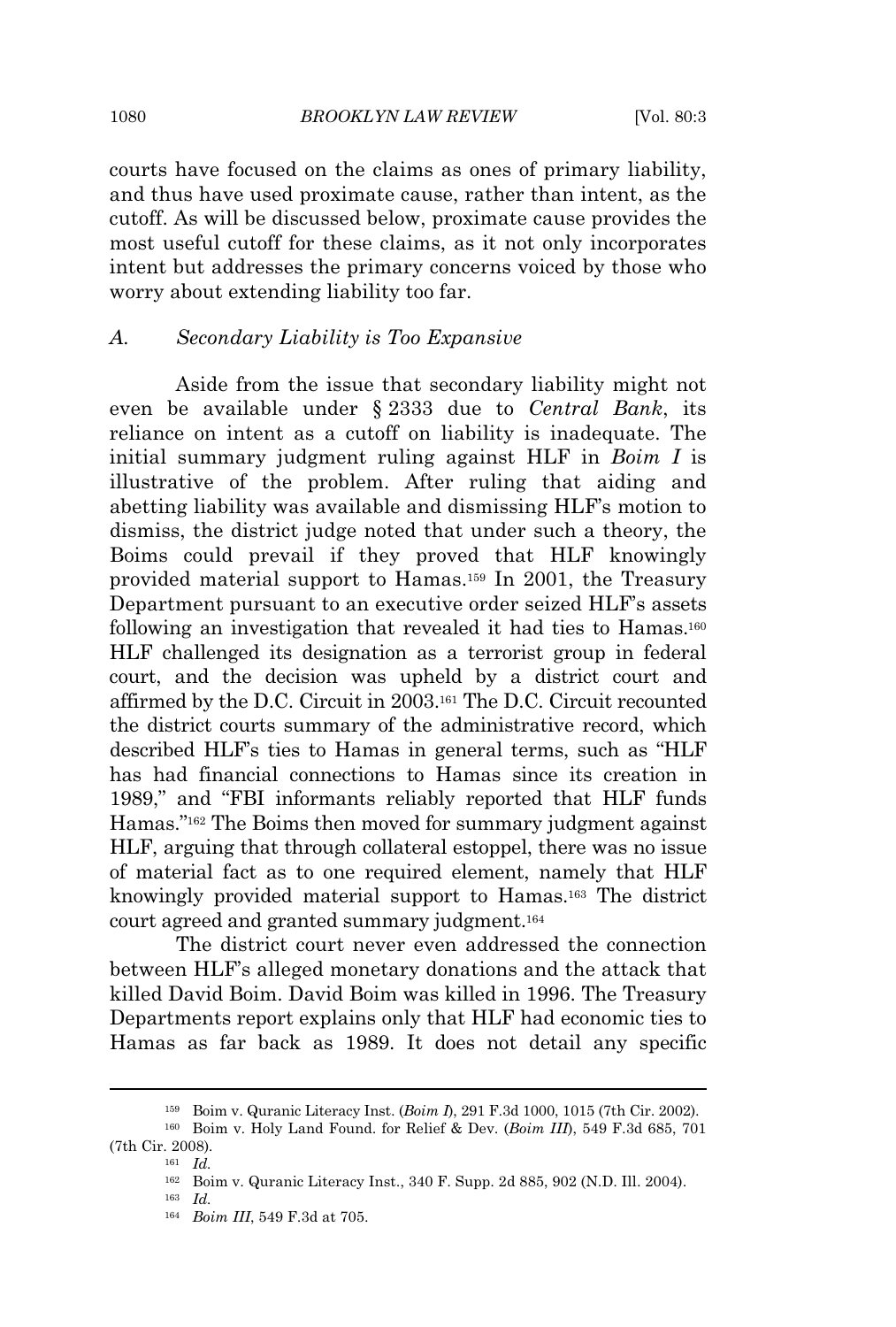courts have focused on the claims as ones of primary liability, and thus have used proximate cause, rather than intent, as the cutoff. As will be discussed below, proximate cause provides the most useful cutoff for these claims, as it not only incorporates intent but addresses the primary concerns voiced by those who worry about extending liability too far.

#### *A. Secondary Liability is Too Expansive*

Aside from the issue that secondary liability might not even be available under § 2333 due to *Central Bank*, its reliance on intent as a cutoff on liability is inadequate. The initial summary judgment ruling against HLF in *Boim I* is illustrative of the problem. After ruling that aiding and abetting liability was available and dismissing HLF's motion to dismiss, the district judge noted that under such a theory, the Boims could prevail if they proved that HLF knowingly provided material support to Hamas.<sup>159</sup> In 2001, the Treasury Department pursuant to an executive order seized HLF's assets following an investigation that revealed it had ties to Hamas.<sup>160</sup> HLF challenged its designation as a terrorist group in federal court, and the decision was upheld by a district court and affirmed by the D.C. Circuit in 2003.<sup>161</sup> The D.C. Circuit recounted the district courts summary of the administrative record, which described HLF's ties to Hamas in general terms, such as "HLF has had financial connections to Hamas since its creation in 1989," and "FBI informants reliably reported that HLF funds Hamas." <sup>162</sup> The Boims then moved for summary judgment against HLF, arguing that through collateral estoppel, there was no issue of material fact as to one required element, namely that HLF knowingly provided material support to Hamas.<sup>163</sup> The district court agreed and granted summary judgment.<sup>164</sup>

The district court never even addressed the connection between HLF's alleged monetary donations and the attack that killed David Boim. David Boim was killed in 1996. The Treasury Departments report explains only that HLF had economic ties to Hamas as far back as 1989. It does not detail any specific

<sup>159</sup> Boim v. Quranic Literacy Inst. (*Boim I*), 291 F.3d 1000, 1015 (7th Cir. 2002).

<sup>160</sup> Boim v. Holy Land Found. for Relief & Dev. (*Boim III*), 549 F.3d 685, 701 (7th Cir. 2008)*.*

<sup>161</sup> *Id.*

<sup>162</sup> Boim v. Quranic Literacy Inst., 340 F. Supp. 2d 885, 902 (N.D. Ill. 2004).

<sup>163</sup> *Id.*

<sup>164</sup> *Boim III*, 549 F.3d at 705.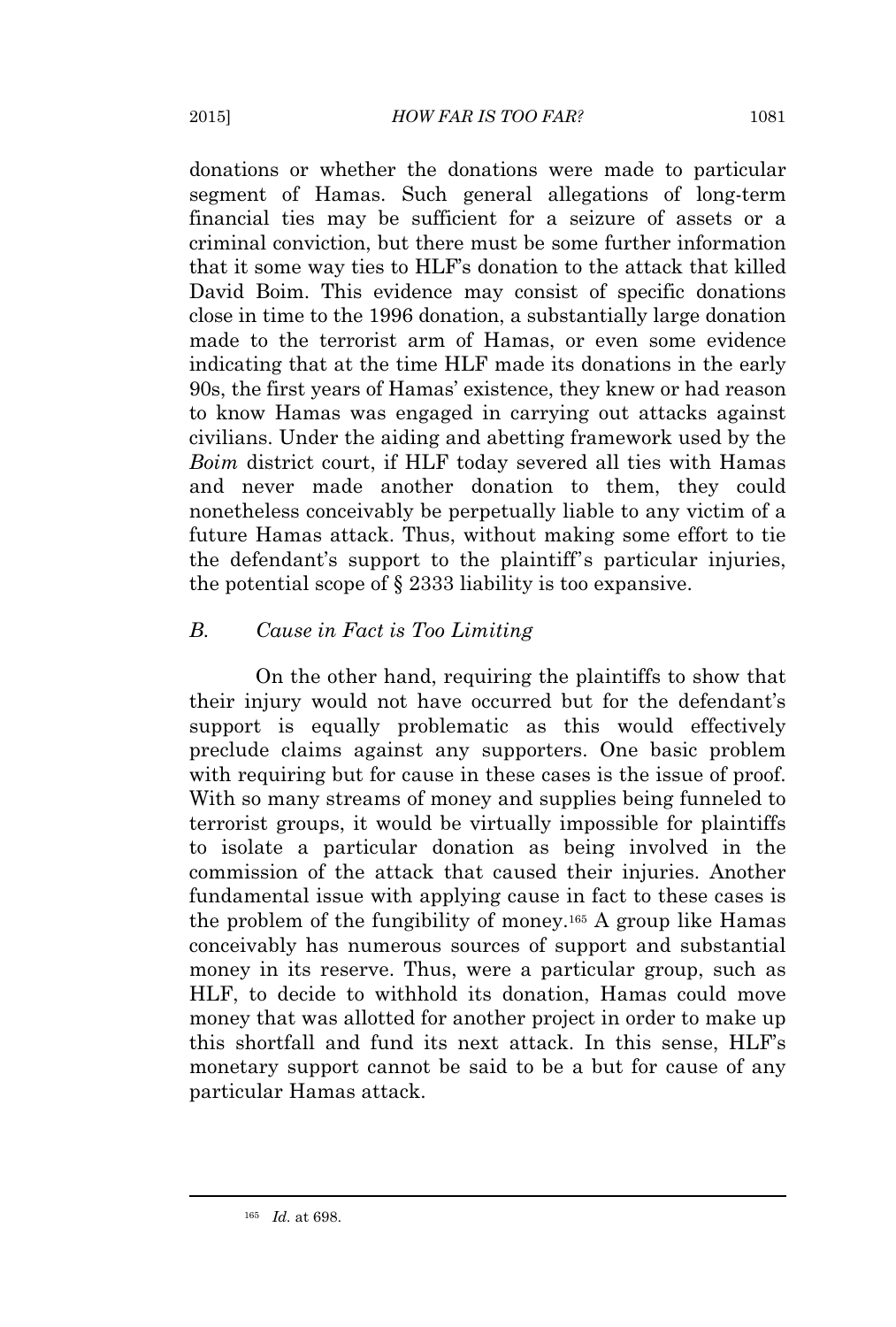donations or whether the donations were made to particular segment of Hamas. Such general allegations of long-term financial ties may be sufficient for a seizure of assets or a criminal conviction, but there must be some further information that it some way ties to HLF's donation to the attack that killed David Boim. This evidence may consist of specific donations close in time to the 1996 donation, a substantially large donation made to the terrorist arm of Hamas, or even some evidence indicating that at the time HLF made its donations in the early 90s, the first years of Hamas' existence, they knew or had reason to know Hamas was engaged in carrying out attacks against civilians. Under the aiding and abetting framework used by the *Boim* district court, if HLF today severed all ties with Hamas and never made another donation to them, they could nonetheless conceivably be perpetually liable to any victim of a future Hamas attack. Thus, without making some effort to tie the defendant's support to the plaintiff's particular injuries, the potential scope of § 2333 liability is too expansive.

# *B. Cause in Fact is Too Limiting*

On the other hand, requiring the plaintiffs to show that their injury would not have occurred but for the defendant's support is equally problematic as this would effectively preclude claims against any supporters. One basic problem with requiring but for cause in these cases is the issue of proof. With so many streams of money and supplies being funneled to terrorist groups, it would be virtually impossible for plaintiffs to isolate a particular donation as being involved in the commission of the attack that caused their injuries. Another fundamental issue with applying cause in fact to these cases is the problem of the fungibility of money.<sup>165</sup> A group like Hamas conceivably has numerous sources of support and substantial money in its reserve. Thus, were a particular group, such as HLF, to decide to withhold its donation, Hamas could move money that was allotted for another project in order to make up this shortfall and fund its next attack. In this sense, HLF's monetary support cannot be said to be a but for cause of any particular Hamas attack.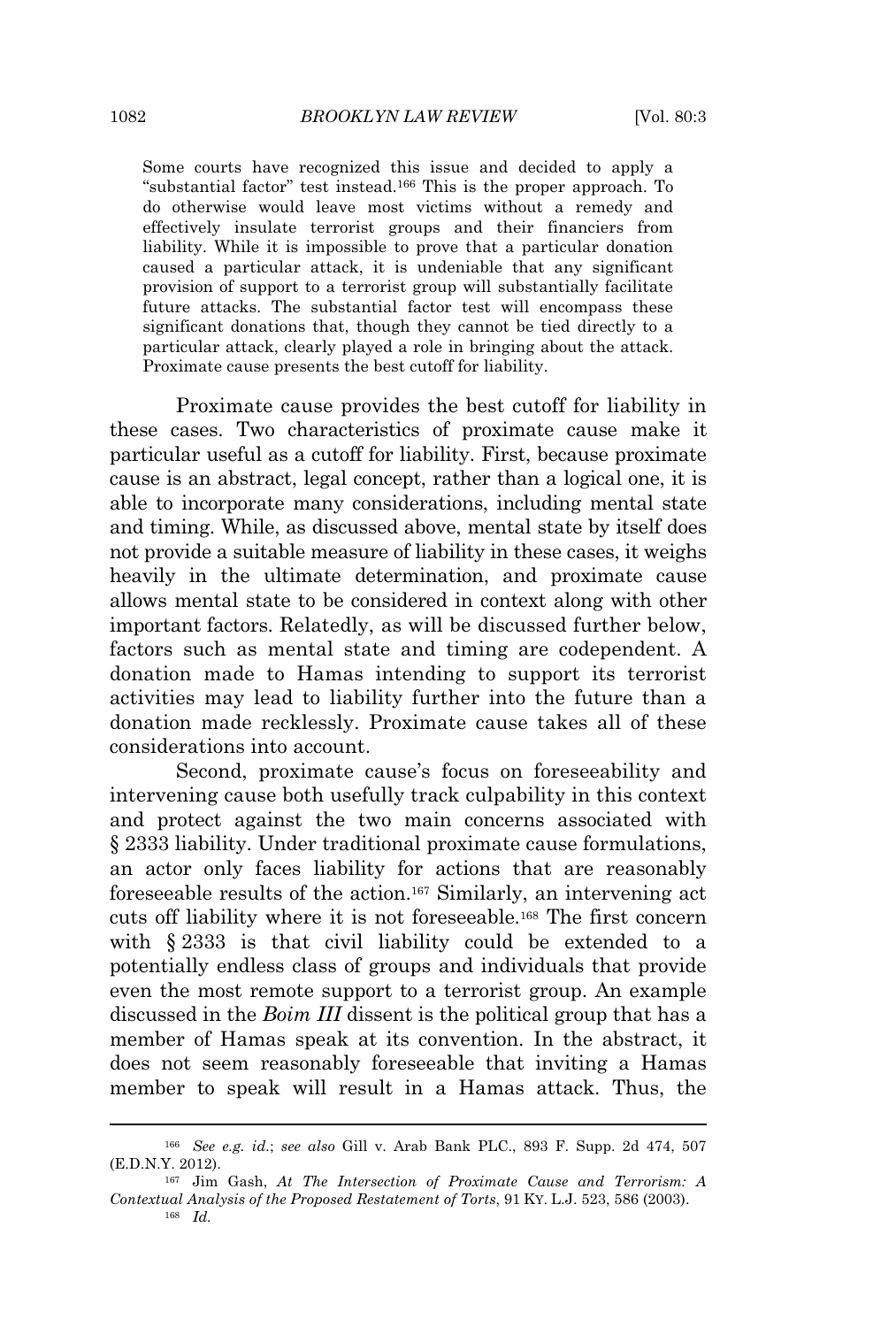Some courts have recognized this issue and decided to apply a "substantial factor" test instead.<sup>166</sup> This is the proper approach. To do otherwise would leave most victims without a remedy and effectively insulate terrorist groups and their financiers from liability. While it is impossible to prove that a particular donation caused a particular attack, it is undeniable that any significant provision of support to a terrorist group will substantially facilitate future attacks. The substantial factor test will encompass these significant donations that, though they cannot be tied directly to a particular attack, clearly played a role in bringing about the attack. Proximate cause presents the best cutoff for liability.

Proximate cause provides the best cutoff for liability in these cases. Two characteristics of proximate cause make it particular useful as a cutoff for liability. First, because proximate cause is an abstract, legal concept, rather than a logical one, it is able to incorporate many considerations, including mental state and timing. While, as discussed above, mental state by itself does not provide a suitable measure of liability in these cases, it weighs heavily in the ultimate determination, and proximate cause allows mental state to be considered in context along with other important factors. Relatedly, as will be discussed further below, factors such as mental state and timing are codependent. A donation made to Hamas intending to support its terrorist activities may lead to liability further into the future than a donation made recklessly. Proximate cause takes all of these considerations into account.

Second, proximate cause's focus on foreseeability and intervening cause both usefully track culpability in this context and protect against the two main concerns associated with § 2333 liability. Under traditional proximate cause formulations, an actor only faces liability for actions that are reasonably foreseeable results of the action.<sup>167</sup> Similarly, an intervening act cuts off liability where it is not foreseeable.<sup>168</sup> The first concern with § 2333 is that civil liability could be extended to a potentially endless class of groups and individuals that provide even the most remote support to a terrorist group. An example discussed in the *Boim III* dissent is the political group that has a member of Hamas speak at its convention. In the abstract, it does not seem reasonably foreseeable that inviting a Hamas member to speak will result in a Hamas attack. Thus, the

<sup>166</sup> *See e.g. id.*; *see also* Gill v. Arab Bank PLC., 893 F. Supp. 2d 474, 507 (E.D.N.Y. 2012).

<sup>167</sup> Jim Gash, *At The Intersection of Proximate Cause and Terrorism: A Contextual Analysis of the Proposed Restatement of Torts*, 91 KY. L.J. 523, 586 (2003).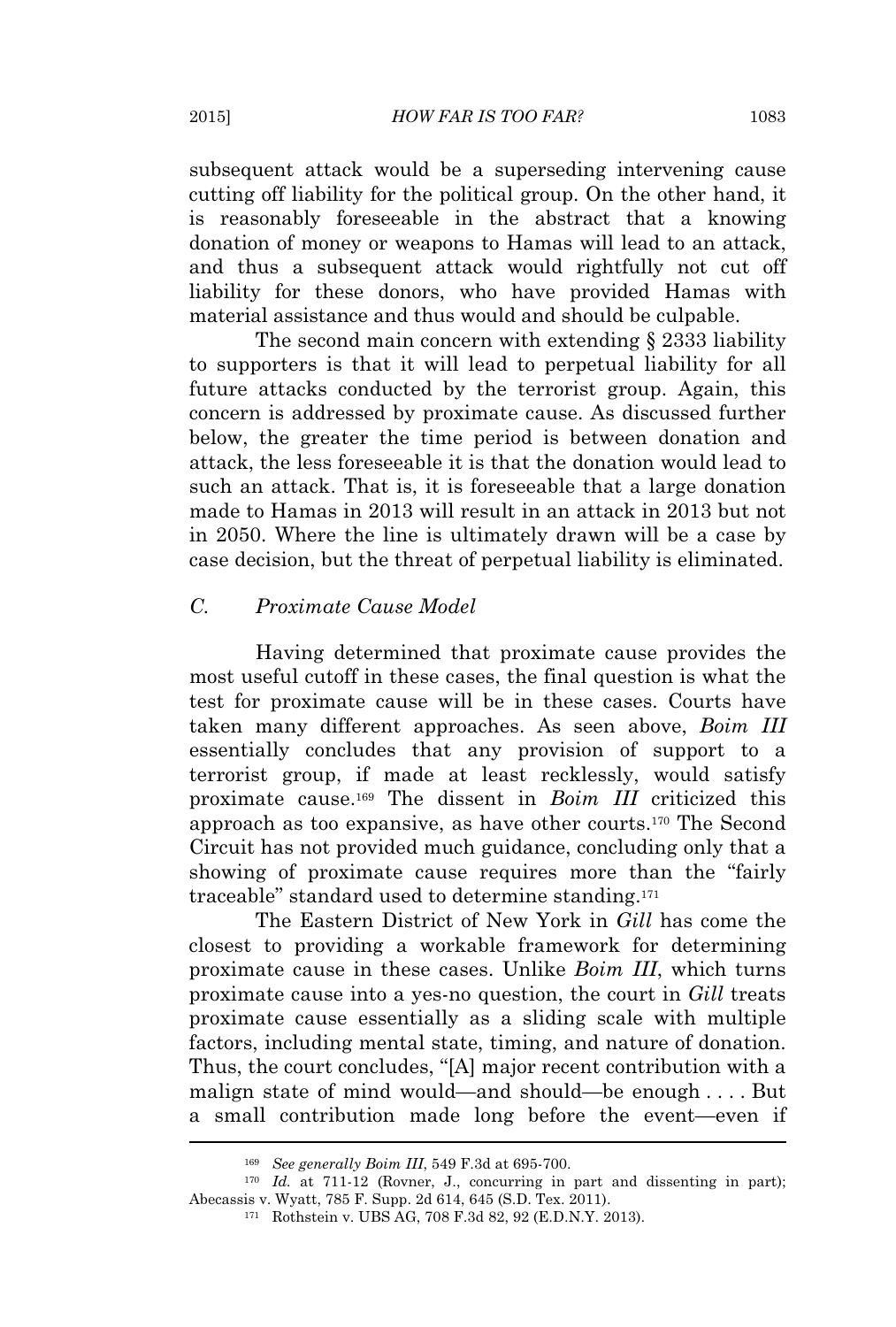subsequent attack would be a superseding intervening cause cutting off liability for the political group. On the other hand, it is reasonably foreseeable in the abstract that a knowing donation of money or weapons to Hamas will lead to an attack, and thus a subsequent attack would rightfully not cut off liability for these donors, who have provided Hamas with material assistance and thus would and should be culpable.

The second main concern with extending § 2333 liability to supporters is that it will lead to perpetual liability for all future attacks conducted by the terrorist group. Again, this concern is addressed by proximate cause. As discussed further below, the greater the time period is between donation and attack, the less foreseeable it is that the donation would lead to such an attack. That is, it is foreseeable that a large donation made to Hamas in 2013 will result in an attack in 2013 but not in 2050. Where the line is ultimately drawn will be a case by case decision, but the threat of perpetual liability is eliminated.

#### *C. Proximate Cause Model*

Having determined that proximate cause provides the most useful cutoff in these cases, the final question is what the test for proximate cause will be in these cases. Courts have taken many different approaches. As seen above, *Boim III* essentially concludes that any provision of support to a terrorist group, if made at least recklessly, would satisfy proximate cause.<sup>169</sup> The dissent in *Boim III* criticized this approach as too expansive, as have other courts.<sup>170</sup> The Second Circuit has not provided much guidance, concluding only that a showing of proximate cause requires more than the "fairly traceable" standard used to determine standing.<sup>171</sup>

The Eastern District of New York in *Gill* has come the closest to providing a workable framework for determining proximate cause in these cases. Unlike *Boim III*, which turns proximate cause into a yes-no question, the court in *Gill* treats proximate cause essentially as a sliding scale with multiple factors, including mental state, timing, and nature of donation. Thus, the court concludes, "[A] major recent contribution with a malign state of mind would—and should—be enough . . . . But a small contribution made long before the event—even if

<sup>169</sup> *See generally Boim III*, 549 F.3d at 695-700.

<sup>&</sup>lt;sup>170</sup> *Id.* at 711-12 (Rovner, J., concurring in part and dissenting in part); Abecassis v. Wyatt, 785 F. Supp. 2d 614, 645 (S.D. Tex. 2011).

<sup>171</sup> Rothstein v. UBS AG, 708 F.3d 82, 92 (E.D.N.Y. 2013).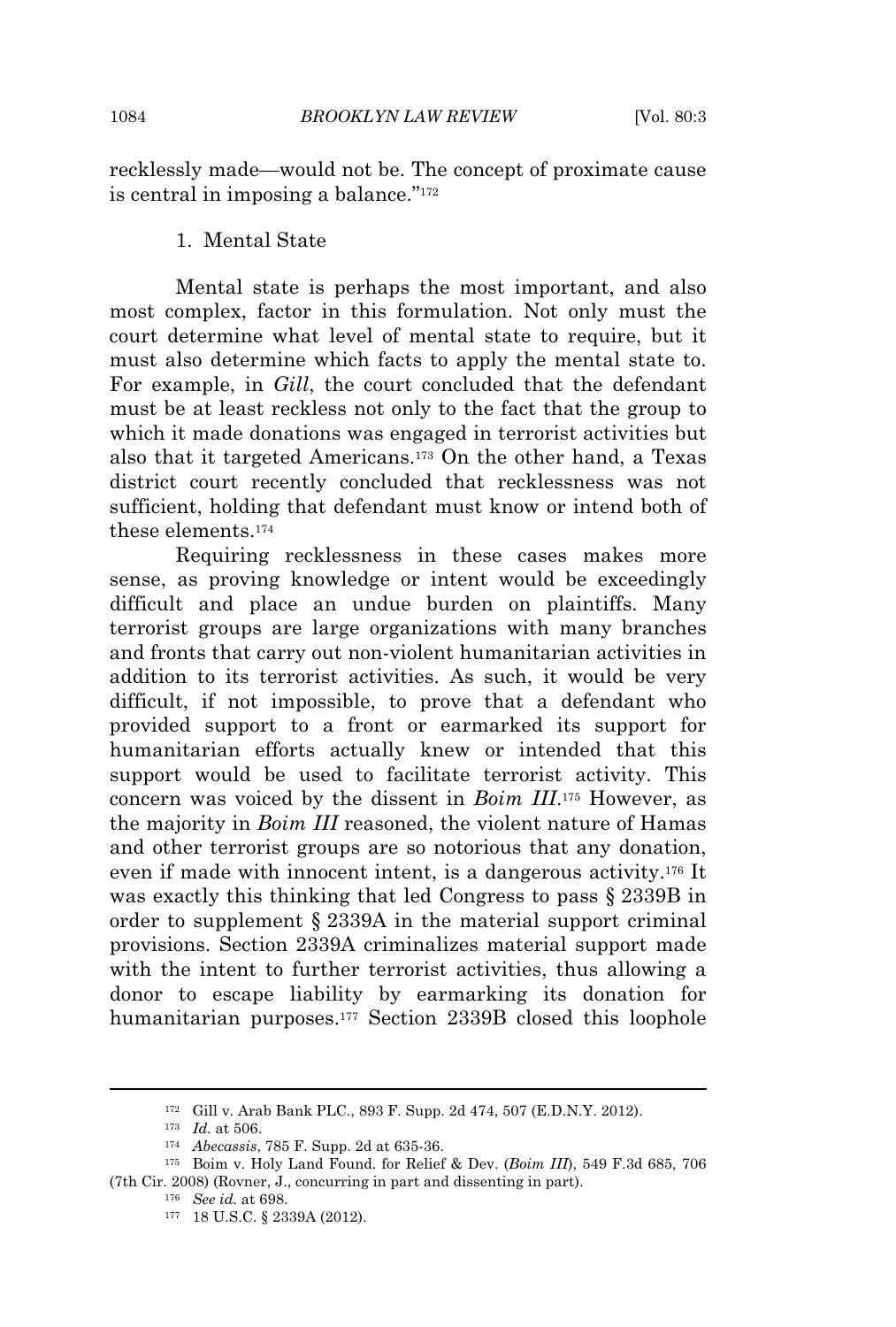recklessly made—would not be. The concept of proximate cause is central in imposing a balance." 172

1. Mental State

Mental state is perhaps the most important, and also most complex, factor in this formulation. Not only must the court determine what level of mental state to require, but it must also determine which facts to apply the mental state to. For example, in *Gill*, the court concluded that the defendant must be at least reckless not only to the fact that the group to which it made donations was engaged in terrorist activities but also that it targeted Americans.<sup>173</sup> On the other hand, a Texas district court recently concluded that recklessness was not sufficient, holding that defendant must know or intend both of these elements.<sup>174</sup>

Requiring recklessness in these cases makes more sense, as proving knowledge or intent would be exceedingly difficult and place an undue burden on plaintiffs. Many terrorist groups are large organizations with many branches and fronts that carry out non-violent humanitarian activities in addition to its terrorist activities. As such, it would be very difficult, if not impossible, to prove that a defendant who provided support to a front or earmarked its support for humanitarian efforts actually knew or intended that this support would be used to facilitate terrorist activity. This concern was voiced by the dissent in *Boim III*. <sup>175</sup> However, as the majority in *Boim III* reasoned, the violent nature of Hamas and other terrorist groups are so notorious that any donation, even if made with innocent intent, is a dangerous activity.<sup>176</sup> It was exactly this thinking that led Congress to pass § 2339B in order to supplement § 2339A in the material support criminal provisions. Section 2339A criminalizes material support made with the intent to further terrorist activities, thus allowing a donor to escape liability by earmarking its donation for humanitarian purposes.<sup>177</sup> Section 2339B closed this loophole

<sup>173</sup> *Id.* at 506.

<sup>172</sup> Gill v. Arab Bank PLC., 893 F. Supp. 2d 474, 507 (E.D.N.Y. 2012).

<sup>174</sup> *Abecassis*, 785 F. Supp. 2d at 635-36.

<sup>175</sup> Boim v. Holy Land Found. for Relief & Dev. (*Boim III*), 549 F.3d 685, 706 (7th Cir. 2008) (Rovner, J., concurring in part and dissenting in part).

<sup>176</sup> *See id.* at 698.

<sup>177</sup> 18 U.S.C. § 2339A (2012).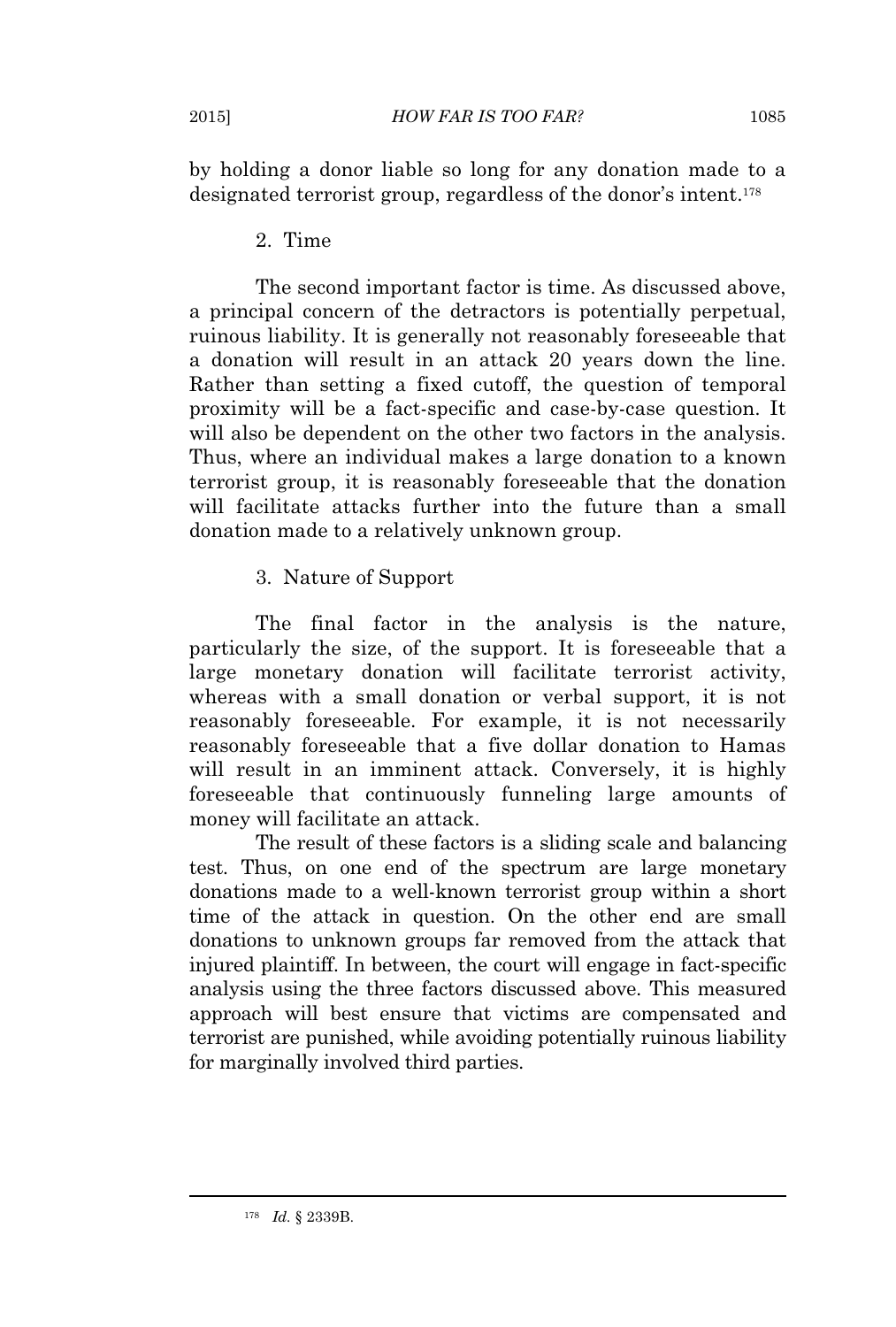by holding a donor liable so long for any donation made to a designated terrorist group, regardless of the donor's intent.<sup>178</sup>

# 2. Time

The second important factor is time. As discussed above, a principal concern of the detractors is potentially perpetual, ruinous liability. It is generally not reasonably foreseeable that a donation will result in an attack 20 years down the line. Rather than setting a fixed cutoff, the question of temporal proximity will be a fact-specific and case-by-case question. It will also be dependent on the other two factors in the analysis. Thus, where an individual makes a large donation to a known terrorist group, it is reasonably foreseeable that the donation will facilitate attacks further into the future than a small donation made to a relatively unknown group.

# 3. Nature of Support

The final factor in the analysis is the nature, particularly the size, of the support. It is foreseeable that a large monetary donation will facilitate terrorist activity, whereas with a small donation or verbal support, it is not reasonably foreseeable. For example, it is not necessarily reasonably foreseeable that a five dollar donation to Hamas will result in an imminent attack. Conversely, it is highly foreseeable that continuously funneling large amounts of money will facilitate an attack.

The result of these factors is a sliding scale and balancing test. Thus, on one end of the spectrum are large monetary donations made to a well-known terrorist group within a short time of the attack in question. On the other end are small donations to unknown groups far removed from the attack that injured plaintiff. In between, the court will engage in fact-specific analysis using the three factors discussed above. This measured approach will best ensure that victims are compensated and terrorist are punished, while avoiding potentially ruinous liability for marginally involved third parties.